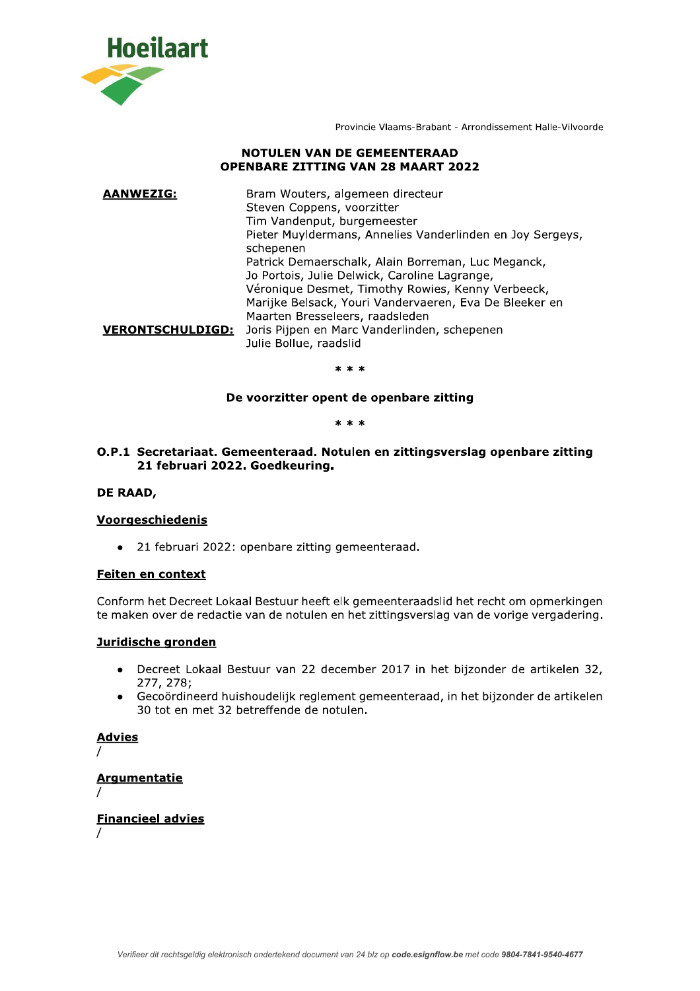

Provincie Vlaams-Brabant - Arrondissement Halle-Vilvoorde

# **NOTULEN VAN DE GEMEENTERAAD OPENBARE ZITTING VAN 28 MAART 2022**

| <b>AANWEZIG:</b>        | Bram Wouters, algemeen directeur<br>Steven Coppens, voorzitter<br>Tim Vandenput, burgemeester<br>Pieter Muyldermans, Annelies Vanderlinden en Joy Sergeys,<br>schepenen<br>Patrick Demaerschalk, Alain Borreman, Luc Meganck,<br>Jo Portois, Julie Delwick, Caroline Lagrange,<br>Véronique Desmet, Timothy Rowies, Kenny Verbeeck,<br>Marijke Belsack, Youri Vandervaeren, Eva De Bleeker en |
|-------------------------|-----------------------------------------------------------------------------------------------------------------------------------------------------------------------------------------------------------------------------------------------------------------------------------------------------------------------------------------------------------------------------------------------|
|                         | Maarten Bresseleers, raadsleden                                                                                                                                                                                                                                                                                                                                                               |
| <b>VERONTSCHULDIGD:</b> | Joris Pijpen en Marc Vanderlinden, schepenen<br>Julie Bollue, raadslid                                                                                                                                                                                                                                                                                                                        |

 $* * *$ 

# De voorzitter opent de openbare zitting

#### $***$

O.P.1 Secretariaat. Gemeenteraad. Notulen en zittingsverslag openbare zitting 21 februari 2022. Goedkeuring.

# DE RAAD,

## **Voorgeschiedenis**

• 21 februari 2022: openbare zitting gemeenteraad.

#### Feiten en context

Conform het Decreet Lokaal Bestuur heeft elk gemeenteraadslid het recht om opmerkingen te maken over de redactie van de notulen en het zittingsverslag van de vorige vergadering.

# Juridische gronden

- Decreet Lokaal Bestuur van 22 december 2017 in het bijzonder de artikelen 32,  $\bullet$ 277, 278;
- Gecoördineerd huishoudelijk reglement gemeenteraad, in het bijzonder de artikelen 30 tot en met 32 betreffende de notulen.

**Advies** 

# **Argumentatie**

**Financieel advies**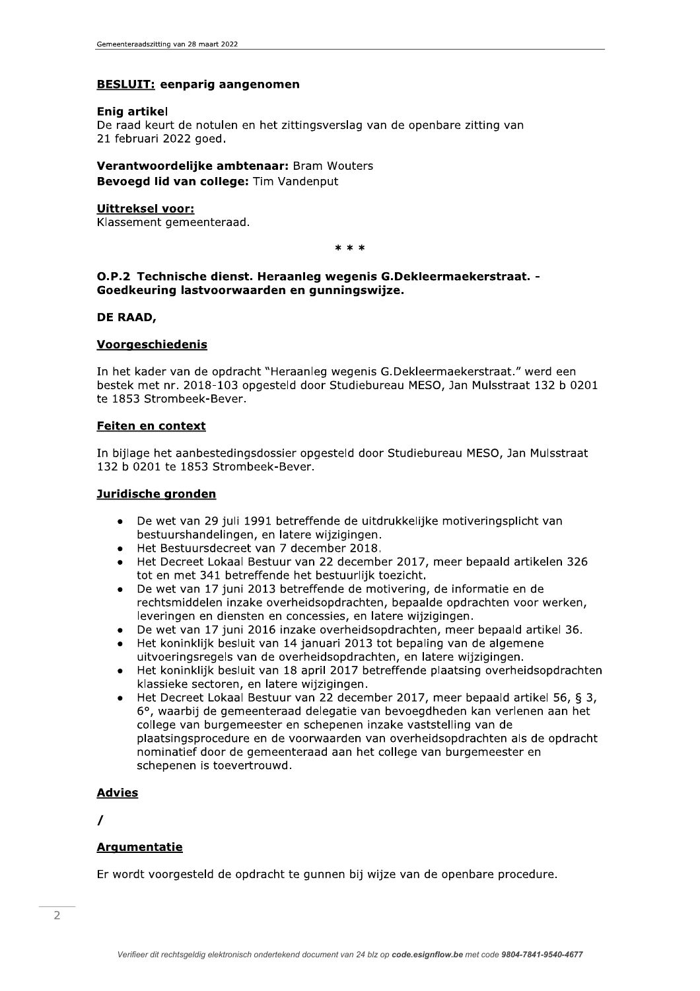#### **BESLUIT:** eenparig aangenomen

#### Enig artikel

De raad keurt de notulen en het zittingsverslag van de openbare zitting van 21 februari 2022 goed.

Verantwoordelijke ambtenaar: Bram Wouters Bevoegd lid van college: Tim Vandenput

#### **Uittreksel voor:**

Klassement gemeenteraad.

 $***$ 

## O.P.2 Technische dienst. Heraanleg wegenis G.Dekleermaekerstraat. -Goedkeuring lastvoorwaarden en gunningswijze.

#### DE RAAD.

#### Voorgeschiedenis

In het kader van de opdracht "Heraanleg wegenis G.Dekleermaekerstraat." werd een bestek met nr. 2018-103 opgesteld door Studiebureau MESO, Jan Mulsstraat 132 b 0201 te 1853 Strombeek-Bever.

#### Feiten en context

In bijlage het aanbestedingsdossier opgesteld door Studiebureau MESO, Jan Mulsstraat 132 b 0201 te 1853 Strombeek-Bever.

#### Juridische gronden

- De wet van 29 juli 1991 betreffende de uitdrukkelijke motiveringsplicht van  $\bullet$ bestuurshandelingen, en latere wijzigingen.
- Het Bestuursdecreet van 7 december 2018.
- Het Decreet Lokaal Bestuur van 22 december 2017, meer bepaald artikelen 326 tot en met 341 betreffende het bestuurlijk toezicht.
- De wet van 17 juni 2013 betreffende de motivering, de informatie en de rechtsmiddelen inzake overheidsopdrachten, bepaalde opdrachten voor werken, leveringen en diensten en concessies, en latere wijzigingen.
- De wet van 17 juni 2016 inzake overheidsopdrachten, meer bepaald artikel 36.
- Het koninklijk besluit van 14 januari 2013 tot bepaling van de algemene uitvoeringsregels van de overheidsopdrachten, en latere wijzigingen.
- Het koninklijk besluit van 18 april 2017 betreffende plaatsing overheidsopdrachten klassieke sectoren, en latere wijzigingen.
- Het Decreet Lokaal Bestuur van 22 december 2017, meer bepaald artikel 56, § 3, 6°, waarbij de gemeenteraad delegatie van bevoegdheden kan verlenen aan het college van burgemeester en schepenen inzake vaststelling van de plaatsingsprocedure en de voorwaarden van overheidsopdrachten als de opdracht nominatief door de gemeenteraad aan het college van burgemeester en schepenen is toevertrouwd.

# **Advies**

 $\prime$ 

## **Argumentatie**

Er wordt voorgesteld de opdracht te gunnen bij wijze van de openbare procedure.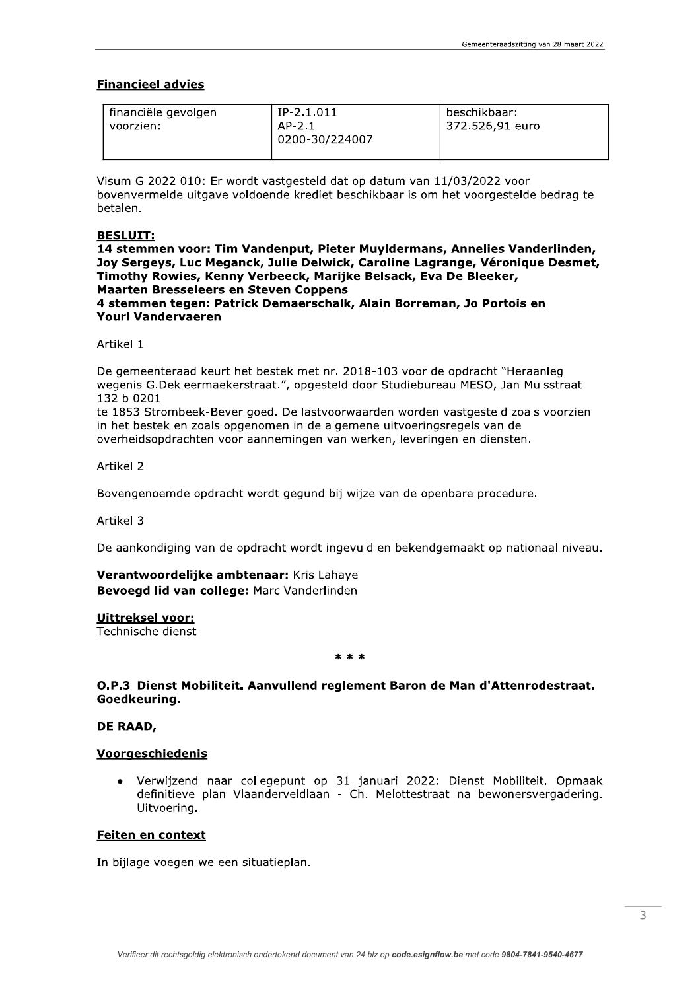# **Financieel advies**

| financiële gevolgen<br>voorzien: | $IP-2.1.011$<br>$AP-2.1$<br>0200-30/224007 | beschikbaar:<br>372.526,91 euro |
|----------------------------------|--------------------------------------------|---------------------------------|
|                                  |                                            |                                 |

Visum G 2022 010: Er wordt vastgesteld dat op datum van 11/03/2022 voor bovenvermelde uitgave voldoende krediet beschikbaar is om het voorgestelde bedrag te betalen.

#### **BESLUIT:**

14 stemmen voor: Tim Vandenput, Pieter Muyldermans, Annelies Vanderlinden, Joy Sergeys, Luc Meganck, Julie Delwick, Caroline Lagrange, Véronique Desmet, Timothy Rowies, Kenny Verbeeck, Marijke Belsack, Eva De Bleeker, **Maarten Bresseleers en Steven Coppens** 4 stemmen tegen: Patrick Demaerschalk, Alain Borreman, Jo Portois en **Youri Vandervaeren** 

Artikel 1

De gemeenteraad keurt het bestek met nr. 2018-103 voor de opdracht "Heraanleg wegenis G.Dekleermaekerstraat.", opgesteld door Studiebureau MESO, Jan Mulsstraat 132 b 0201

te 1853 Strombeek-Bever goed. De lastvoorwaarden worden vastgesteld zoals voorzien in het bestek en zoals opgenomen in de algemene uitvoeringsregels van de overheidsopdrachten voor aannemingen van werken, leveringen en diensten.

Artikel 2

Bovengenoemde opdracht wordt gegund bij wijze van de openbare procedure.

Artikel 3

De aankondiging van de opdracht wordt ingevuld en bekendgemaakt op nationaal niveau.

Verantwoordelijke ambtenaar: Kris Lahave Bevoegd lid van college: Marc Vanderlinden

#### **Uittreksel voor:**

Technische dienst

 $* * *$ 

# O.P.3 Dienst Mobiliteit. Aanvullend reglement Baron de Man d'Attenrodestraat. Goedkeuring.

#### DE RAAD,

## **Voorgeschiedenis**

Verwijzend naar collegepunt op 31 januari 2022: Dienst Mobiliteit. Opmaak definitieve plan Vlaanderveldlaan - Ch. Melottestraat na bewonersvergadering. Uitvoering.

#### Feiten en context

In bijlage voegen we een situatieplan.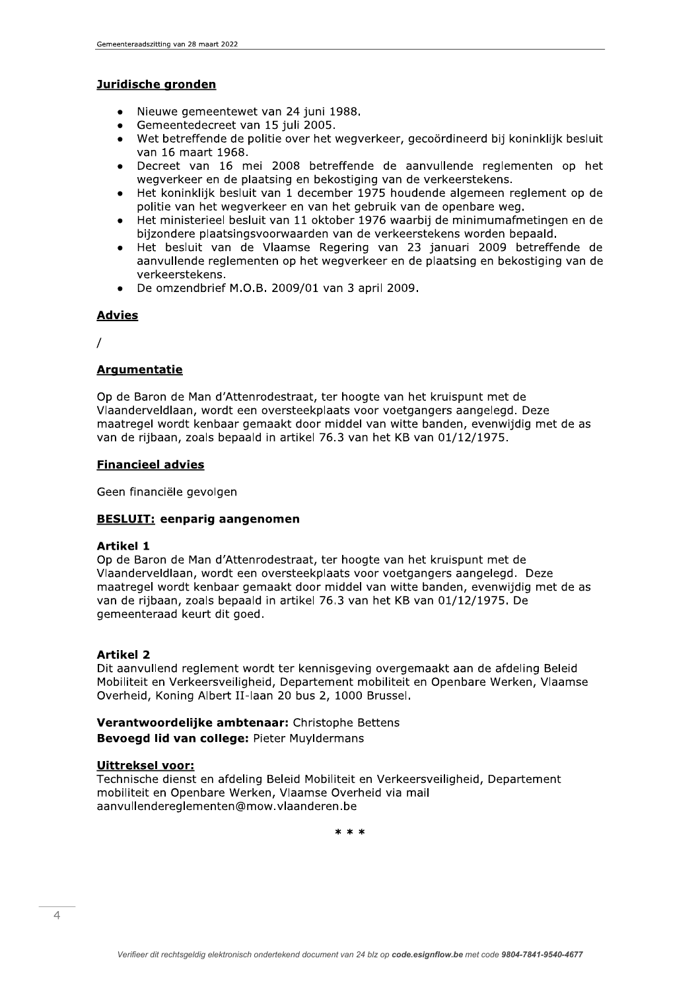#### Juridische gronden

- Nieuwe gemeentewet van 24 juni 1988.  $\bullet$
- Gemeentedecreet van 15 juli 2005.  $\bullet$
- Wet betreffende de politie over het wegverkeer, gecoördineerd bij koninklijk besluit van 16 maart 1968.
- Decreet van 16 mei 2008 betreffende de aanvullende reglementen op het wegverkeer en de plaatsing en bekostiging van de verkeerstekens.
- Het koninklijk besluit van 1 december 1975 houdende algemeen reglement op de politie van het wegverkeer en van het gebruik van de openbare weg.
- Het ministerieel besluit van 11 oktober 1976 waarbij de minimumafmetingen en de bijzondere plaatsingsvoorwaarden van de verkeerstekens worden bepaald.
- Het besluit van de Vlaamse Regering van 23 januari 2009 betreffende de aanvullende reglementen op het wegverkeer en de plaatsing en bekostiging van de verkeerstekens.
- De omzendbrief M.O.B. 2009/01 van 3 april 2009.

## **Advies**

 $\prime$ 

# **Argumentatie**

Op de Baron de Man d'Attenrodestraat, ter hoogte van het kruispunt met de Vlaanderveldlaan, wordt een oversteekplaats voor voetgangers aangelegd. Deze maatregel wordt kenbaar gemaakt door middel van witte banden, evenwijdig met de as van de rijbaan, zoals bepaald in artikel 76.3 van het KB van 01/12/1975.

#### **Financieel advies**

Geen financiële gevolgen

## **BESLUIT: eenparig aangenomen**

# **Artikel 1**

Op de Baron de Man d'Attenrodestraat, ter hoogte van het kruispunt met de Vlaanderveldlaan, wordt een oversteekplaats voor voetgangers aangelegd. Deze maatregel wordt kenbaar gemaakt door middel van witte banden, evenwijdig met de as van de rijbaan, zoals bepaald in artikel 76.3 van het KB van 01/12/1975. De gemeenteraad keurt dit goed.

## **Artikel 2**

Dit aanvullend reglement wordt ter kennisgeving overgemaakt aan de afdeling Beleid Mobiliteit en Verkeersveiligheid, Departement mobiliteit en Openbare Werken, Vlaamse Overheid, Koning Albert II-laan 20 bus 2, 1000 Brussel.

# Verantwoordelijke ambtenaar: Christophe Bettens Bevoegd lid van college: Pieter Muyldermans

## **Uittreksel voor:**

Technische dienst en afdeling Beleid Mobiliteit en Verkeersveiligheid, Departement mobiliteit en Openbare Werken, Vlaamse Overheid via mail aanvullendereglementen@mow.vlaanderen.be

 $* * *$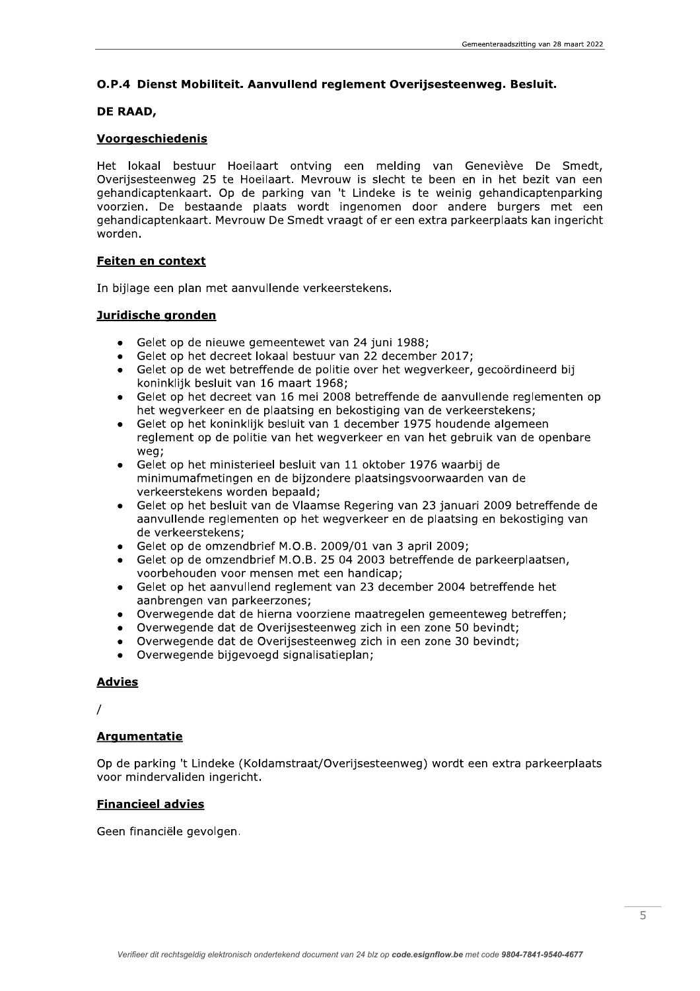Gemeenteraadszitting van 28 maart 2022<br> **O.P.4 Dienst Mobiliteit. Aanvullend reglement Overijsesteenweg. Besluit.**<br> **DE RAAD,**<br> **Voorgeschiedenis**<br>
Het lokaal bestuur Hoeilaart ontving een melding van Geneviève De Smedt,<br> laart ontving een melding van Geneviève De Smedt. Overiisesteenweg 25 te Hoeilaart. Mevrouw is slecht te been en in het bezit van een gehandicaptenkaart. Op de parking van 't Lindeke is te weinig gehandicaptenparking voorzien. De bestaande plaats wordt ingenomen door andere burgers met een gehandicaptenkaart. Mevrouw De Smedt vraagt of er een extra parkeerplaats kan ingericht worden. Substituted Burnouck Contains the Vertex of Substituted Substituted Substituted Substituted Substituted Substituted Substituted Substituted Substituted Substituted Substituted Substituted Substituted Substituted Substitute

## Feiten en context

In bijlage een plan met aanvullende verkeerstekens.

- euwe gemeentewet van 24 juni 1988:
- $\bullet$  Gelet op het decreet lokaal bestuur van 22 december 2017:
- $\bullet$  Gelet op de wet betreffende de politie over het wegverkeer, gecoördineerd bij koninklijk besluit van 16 maart 1968:
- Gelet op het decreet van 16 mei 2008 betreffende de aanvullende reglementen op het wegverkeer en de plaatsing en bekostiging van de verkeerstekens:
- $\bullet$  Gelet op het koninklijk besluit van 1 december 1975 houdende algemeen reglement op de politie van het wegverkeer en van het gebruik van de openbare weg;
- $\bullet$  Gelet op het ministerieel besluit van 11 oktober 1976 waarbij de minimumafmetingen en de biizondere plaatsingsvoorwaarden van de verkeerstekens worden bepaald;
- $\bullet$  Gelet op het besluit van de Vlaamse Regering van 23 januari 2009 betreffende de aanvullende reglementen op het wegverkeer en de plaatsing en bekostiging van de verkeerstekens:
- $\bullet$  Gelet op de omzendbrief M.O.B. 2009/01 van 3 april 2009:
- $\bullet$  Gelet op de omzendbrief M.O.B. 25 04 2003 betreffende de parkeerplaatsen, voorbehouden voor mensen met een handicap:
- $\bullet$  Gelet op het aanvullend reglement van 23 december 2004 betreffende het aanbrengen van parkeerzones:
- $\bullet$  Overwegende dat de hierna voorziene maatregelen gemeenteweg betreffen:
- $\bullet$  Overwegende dat de Overijsesteenweg zich in een zone 50 bevindt:
- one 30 bevindt:
- Overwegende bijgevoegd signalisatieplan:

• Overwegende d<br>• Overwegende d<br>• Overwegende b<br>**Advies**<br>/<br>**Argumentatie**<br>Op de parking 't Linde<br>voor mindervaliden ing<br>Financieel advies<br>Geen financiële gevolg ng 't Lindeke (Koldamstraat/Overiisesteenweg) wordt een extra parkeerplaats voor mindervaliden ingericht.

# **Financieel advies**

Geen financiële gevolgen.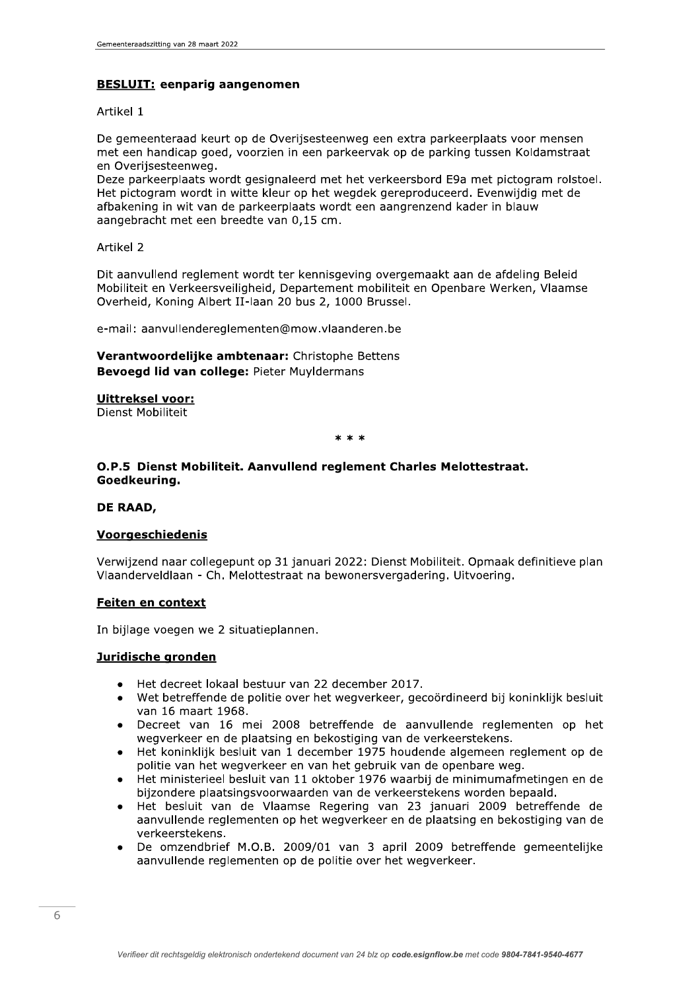# **BESLUIT: eenparig aangenomen**

#### Artikel 1

De gemeenteraad keurt op de Overijsesteenweg een extra parkeerplaats voor mensen met een handicap goed, voorzien in een parkeervak op de parking tussen Koldamstraat en Overijsesteenweg.

Deze parkeerplaats wordt gesignaleerd met het verkeersbord E9a met pictogram rolstoel. Het pictogram wordt in witte kleur op het wegdek gereproduceerd. Evenwijdig met de afbakening in wit van de parkeerplaats wordt een aangrenzend kader in blauw aangebracht met een breedte van 0,15 cm.

Artikel 2

Dit aanvullend reglement wordt ter kennisgeving overgemaakt aan de afdeling Beleid Mobiliteit en Verkeersveiligheid, Departement mobiliteit en Openbare Werken, Vlaamse Overheid, Koning Albert II-laan 20 bus 2, 1000 Brussel.

e-mail: aanvullendereglementen@mow.vlaanderen.be

Verantwoordelijke ambtenaar: Christophe Bettens **Bevoegd lid van college: Pieter Muvidermans** 

#### **Uittreksel voor:**

Dienst Mobiliteit

 $* * *$ 

# O.P.5 Dienst Mobiliteit. Aanvullend reglement Charles Melottestraat. Goedkeuring.

#### DE RAAD,

## **Voorgeschiedenis**

Verwijzend naar collegepunt op 31 januari 2022: Dienst Mobiliteit. Opmaak definitieve plan Vlaanderveldlaan - Ch. Melottestraat na bewonersvergadering. Uitvoering.

## Feiten en context

In bijlage voegen we 2 situatieplannen.

## Juridische gronden

- Het decreet lokaal bestuur van 22 december 2017.
- Wet betreffende de politie over het wegverkeer, gecoördineerd bij koninklijk besluit van 16 maart 1968.
- Decreet van 16 mei 2008 betreffende de aanvullende reglementen op het wegverkeer en de plaatsing en bekostiging van de verkeerstekens.
- Het koninklijk besluit van 1 december 1975 houdende algemeen reglement op de politie van het wegverkeer en van het gebruik van de openbare weg.
- Het ministerieel besluit van 11 oktober 1976 waarbij de minimumafmetingen en de bijzondere plaatsingsvoorwaarden van de verkeerstekens worden bepaald.
- Het besluit van de Vlaamse Regering van 23 januari 2009 betreffende de aanvullende reglementen op het wegverkeer en de plaatsing en bekostiging van de verkeerstekens.
- De omzendbrief M.O.B. 2009/01 van 3 april 2009 betreffende gemeentelijke aanvullende reglementen op de politie over het wegverkeer.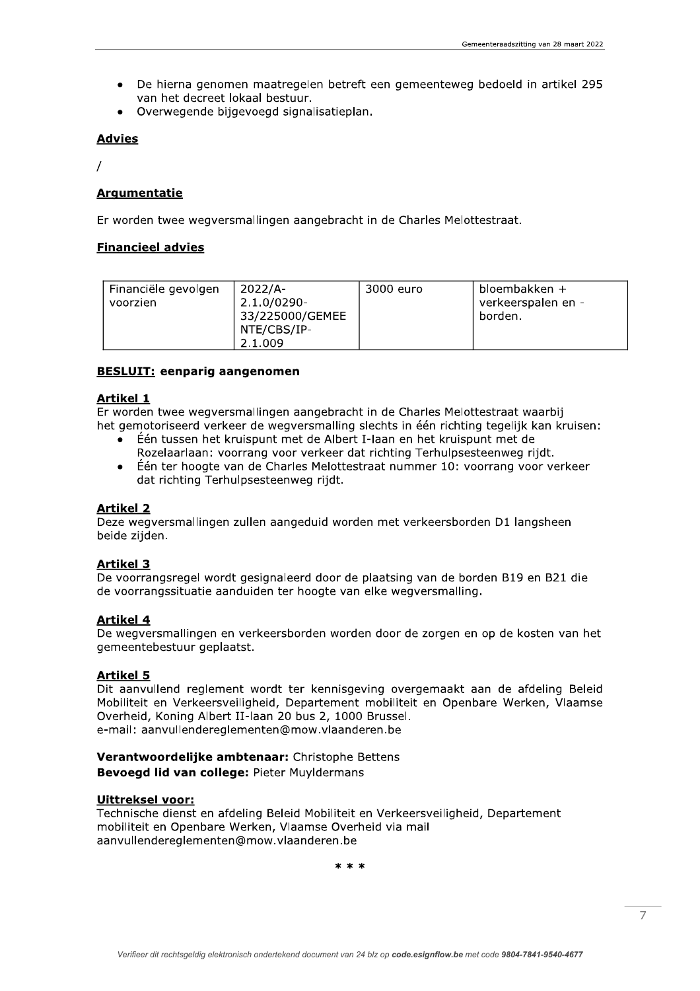- De hierna genomen maatregelen betreft een gemeenteweg bedoeld in artikel 295 van het decreet lokaal bestuur.
- Overwegende bijgevoegd signalisatieplan.

## **Advies**

 $\prime$ 

# **Argumentatie**

Er worden twee wegversmallingen aangebracht in de Charles Melottestraat.

# **Financieel advies**

| Financiële gevolgen<br>voorzien | $2022/A -$<br>$2.1.0/0290 -$<br>33/225000/GEMEE<br>NTE/CBS/IP-<br>2.1.009 | 3000 euro | bloembakken +<br>verkeerspalen en -<br>borden. |
|---------------------------------|---------------------------------------------------------------------------|-----------|------------------------------------------------|
|---------------------------------|---------------------------------------------------------------------------|-----------|------------------------------------------------|

# **BESLUIT: eenparig aangenomen**

## **Artikel 1**

Er worden twee wegversmallingen aangebracht in de Charles Melottestraat waarbij het gemotoriseerd verkeer de wegversmalling slechts in één richting tegelijk kan kruisen:

- Één tussen het kruispunt met de Albert I-laan en het kruispunt met de Rozelaarlaan: voorrang voor verkeer dat richting Terhulpsesteenweg rijdt.
- Één ter hoogte van de Charles Melottestraat nummer 10: voorrang voor verkeer  $\bullet$ dat richting Terhulpsesteenweg rijdt.

## **Artikel 2**

Deze wegversmallingen zullen aangeduid worden met verkeersborden D1 langsheen beide zijden.

# **Artikel 3**

De voorrangsregel wordt gesignaleerd door de plaatsing van de borden B19 en B21 die de voorrangssituatie aanduiden ter hoogte van elke wegversmalling.

# **Artikel 4**

De wegversmallingen en verkeersborden worden door de zorgen en op de kosten van het gemeentebestuur geplaatst.

# **Artikel 5**

Dit aanvullend reglement wordt ter kennisgeving overgemaakt aan de afdeling Beleid Mobiliteit en Verkeersveiligheid, Departement mobiliteit en Openbare Werken, Vlaamse Overheid, Koning Albert II-laan 20 bus 2, 1000 Brussel. e-mail: aanvullendereglementen@mow.vlaanderen.be

# Verantwoordelijke ambtenaar: Christophe Bettens Bevoegd lid van college: Pieter Muyldermans

## **Uittreksel voor:**

Technische dienst en afdeling Beleid Mobiliteit en Verkeersveiligheid, Departement mobiliteit en Openbare Werken, Vlaamse Overheid via mail aanvullendereglementen@mow.vlaanderen.be

 $* * *$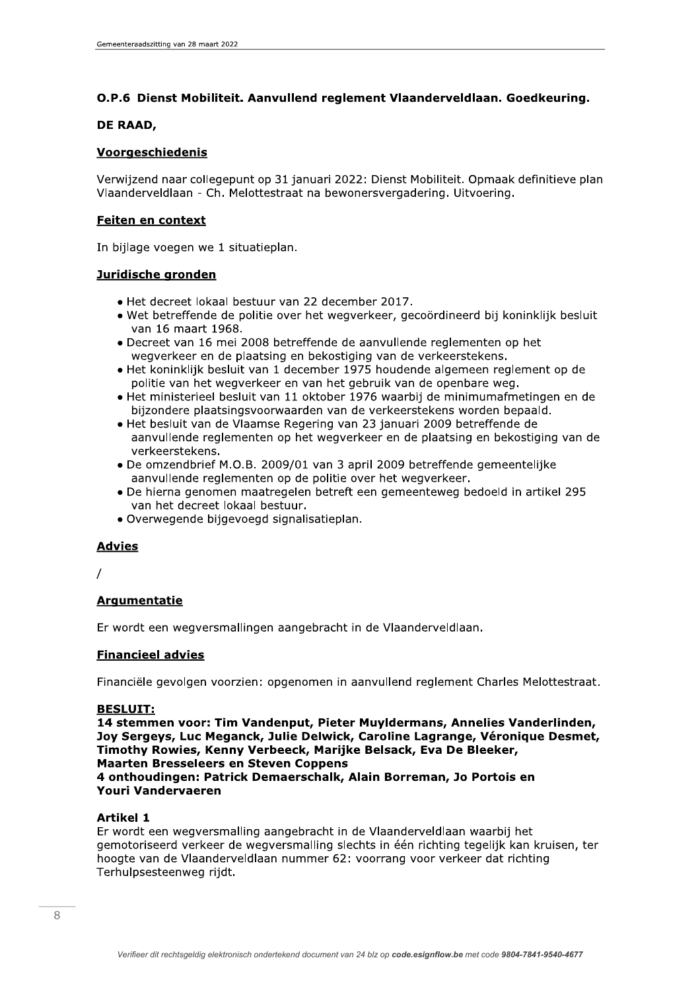# O.P.6 Dienst Mobiliteit. Aanvullend reglement Vlaanderveldlaan. Goedkeuring.

#### DE RAAD,

# Voorgeschiedenis

Verwijzend naar collegepunt op 31 januari 2022: Dienst Mobiliteit. Opmaak definitieve plan Vlaanderveldlaan - Ch. Melottestraat na bewonersvergadering. Uitvoering.

# **Feiten en context**

In bijlage voegen we 1 situatieplan.

# Juridische gronden

- · Het decreet lokaal bestuur van 22 december 2017.
- · Wet betreffende de politie over het wegverkeer, gecoördineerd bij koninklijk besluit van 16 maart 1968.
- Decreet van 16 mei 2008 betreffende de aanvullende reglementen op het wegverkeer en de plaatsing en bekostiging van de verkeerstekens.
- · Het koninklijk besluit van 1 december 1975 houdende algemeen reglement op de politie van het wegverkeer en van het gebruik van de openbare weg.
- · Het ministerieel besluit van 11 oktober 1976 waarbij de minimumafmetingen en de bijzondere plaatsingsvoorwaarden van de verkeerstekens worden bepaald.
- · Het besluit van de Vlaamse Regering van 23 januari 2009 betreffende de aanvullende reglementen op het wegverkeer en de plaatsing en bekostiging van de verkeerstekens.
- De omzendbrief M.O.B. 2009/01 van 3 april 2009 betreffende gemeentelijke aanvullende reglementen op de politie over het wegverkeer.
- · De hierna genomen maatregelen betreft een gemeenteweg bedoeld in artikel 295 van het decreet lokaal bestuur.
- · Overwegende bijgevoegd signalisatieplan.

# **Advies**

# **Argumentatie**

Er wordt een wegversmallingen aangebracht in de Vlaanderveldlaan.

# **Financieel advies**

Financiële gevolgen voorzien: opgenomen in aanvullend reglement Charles Melottestraat.

## **BESLUIT:**

14 stemmen voor: Tim Vandenput, Pieter Muyldermans, Annelies Vanderlinden, Joy Sergeys, Luc Meganck, Julie Delwick, Caroline Lagrange, Véronique Desmet, Timothy Rowies, Kenny Verbeeck, Marijke Belsack, Eva De Bleeker, **Maarten Bresseleers en Steven Coppens** 4 onthoudingen: Patrick Demaerschalk, Alain Borreman, Jo Portois en Youri Vandervaeren

## **Artikel 1**

Er wordt een wegversmalling aangebracht in de Vlaanderveldlaan waarbij het gemotoriseerd verkeer de wegversmalling slechts in één richting tegelijk kan kruisen, ter hoogte van de Vlaanderveldlaan nummer 62: voorrang voor verkeer dat richting Terhulpsesteenweg riidt.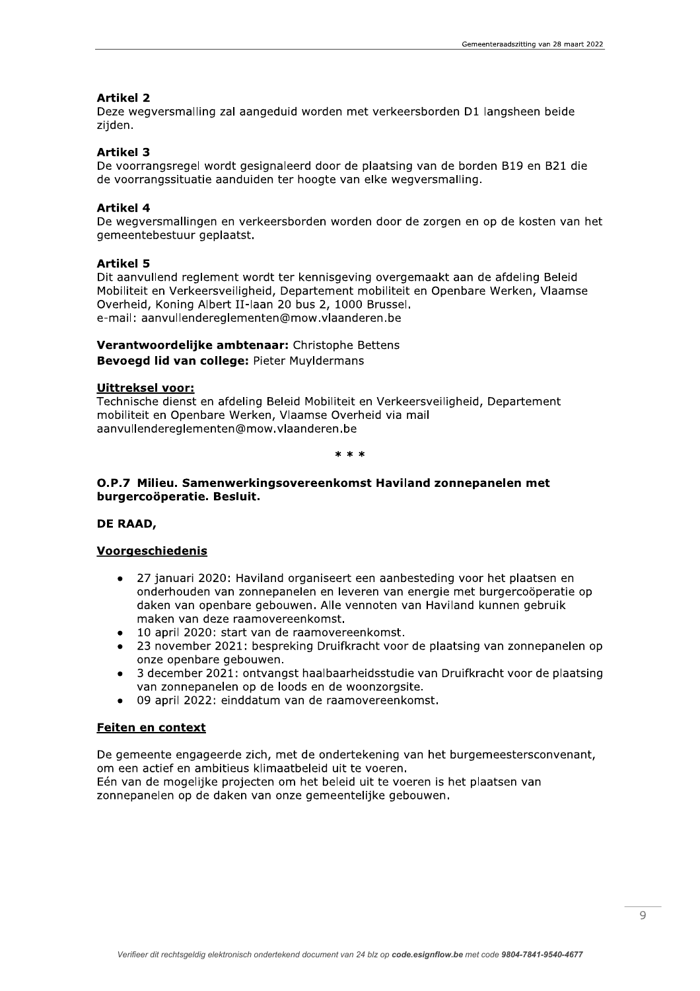## **Artikel 2**

Deze wegversmalling zal aangeduid worden met verkeersborden D1 langsheen beide zijden.

#### **Artikel 3**

De voorrangsregel wordt gesignaleerd door de plaatsing van de borden B19 en B21 die de voorrangssituatie aanduiden ter hoogte van elke wegversmalling.

#### **Artikel 4**

De wegversmallingen en verkeersborden worden door de zorgen en op de kosten van het gemeentebestuur geplaatst.

#### **Artikel 5**

Dit aanvullend reglement wordt ter kennisgeving overgemaakt aan de afdeling Beleid Mobiliteit en Verkeersveiligheid, Departement mobiliteit en Openbare Werken, Vlaamse Overheid, Koning Albert II-laan 20 bus 2, 1000 Brussel. e-mail: aanvullendereglementen@mow.vlaanderen.be

# Verantwoordelijke ambtenaar: Christophe Bettens Bevoegd lid van college: Pieter Muyldermans

## **Uittreksel voor:**

Technische dienst en afdeling Beleid Mobiliteit en Verkeersveiligheid, Departement mobiliteit en Openbare Werken, Vlaamse Overheid via mail aanvullendereglementen@mow.vlaanderen.be

 $* * *$ 

## O.P.7 Milieu. Samenwerkingsovereenkomst Haviland zonnepanelen met burgercoöperatie. Besluit.

# DE RAAD,

## Voorgeschiedenis

- 27 januari 2020: Haviland organiseert een aanbesteding voor het plaatsen en onderhouden van zonnepanelen en leveren van energie met burgercoöperatie op daken van openbare gebouwen. Alle vennoten van Haviland kunnen gebruik maken van deze raamovereenkomst.
- 10 april 2020: start van de raamovereenkomst.
- 23 november 2021: bespreking Druifkracht voor de plaatsing van zonnepanelen op onze openbare gebouwen.
- 3 december 2021: ontvangst haalbaarheidsstudie van Druifkracht voor de plaatsing van zonnepanelen op de loods en de woonzorgsite.
- 09 april 2022: einddatum van de raamovereenkomst.

#### Feiten en context

De gemeente engageerde zich, met de ondertekening van het burgemeestersconvenant, om een actief en ambitieus klimaatbeleid uit te voeren.

Eén van de mogelijke projecten om het beleid uit te voeren is het plaatsen van zonnepanelen op de daken van onze gemeentelijke gebouwen.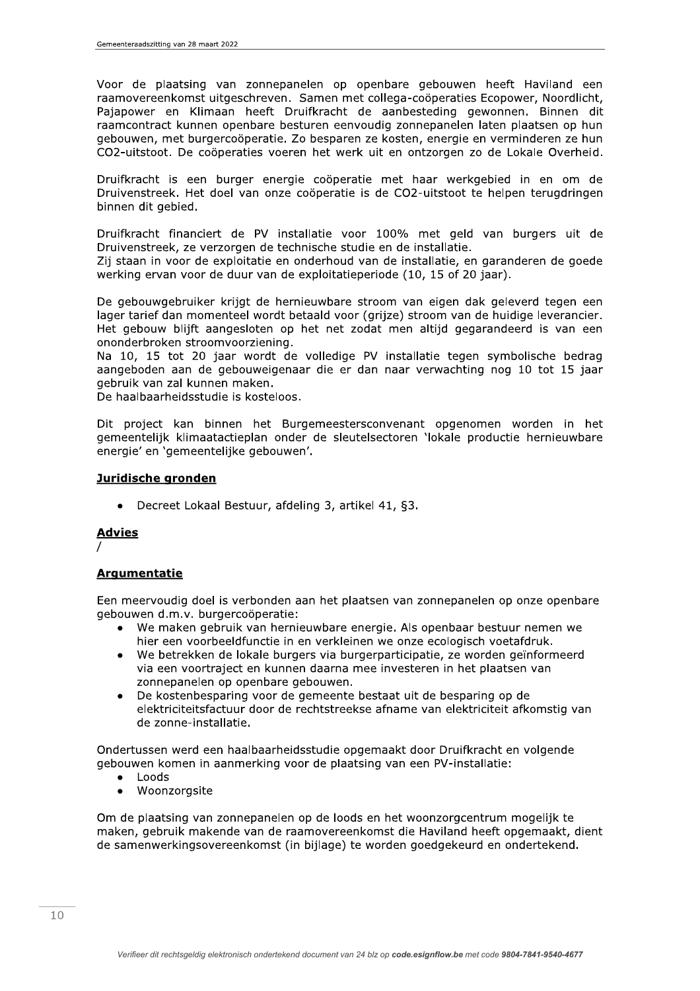Voor de plaatsing van zonnepanelen op openbare gebouwen heeft Haviland een raamovereenkomst uitgeschreven. Samen met collega-coöperaties Ecopower, Noordlicht, Pajapower en Klimaan heeft Druifkracht de aanbesteding gewonnen. Binnen dit raamcontract kunnen openbare besturen eenvoudig zonnepanelen laten plaatsen op hun gebouwen, met burgercoöperatie. Zo besparen ze kosten, energie en verminderen ze hun CO2-uitstoot. De coöperaties voeren het werk uit en ontzorgen zo de Lokale Overheid.

Druifkracht is een burger energie coöperatie met haar werkgebied in en om de Druivenstreek. Het doel van onze coöperatie is de CO2-uitstoot te helpen terugdringen binnen dit gebied.

Druifkracht financiert de PV installatie voor 100% met geld van burgers uit de Druivenstreek, ze verzorgen de technische studie en de installatie.

Zij staan in voor de exploitatie en onderhoud van de installatie, en garanderen de goede werking ervan voor de duur van de exploitatieperiode (10, 15 of 20 jaar).

De gebouwgebruiker krijgt de hernieuwbare stroom van eigen dak geleverd tegen een lager tarief dan momenteel wordt betaald voor (grijze) stroom van de huidige leverancier. Het gebouw blijft aangesloten op het net zodat men altijd gegarandeerd is van een ononderbroken stroomvoorziening.

Na 10, 15 tot 20 jaar wordt de volledige PV installatie tegen symbolische bedrag aangeboden aan de gebouweigenaar die er dan naar verwachting nog 10 tot 15 jaar gebruik van zal kunnen maken.

De haalbaarheidsstudie is kosteloos.

Dit project kan binnen het Burgemeestersconvenant opgenomen worden in het gemeentelijk klimaatactieplan onder de sleutelsectoren 'lokale productie hernieuwbare energie' en 'gemeentelijke gebouwen'.

## **Juridische gronden**

• Decreet Lokaal Bestuur, afdeling 3, artikel 41, §3.

## **Advies**

# **Argumentatie**

Een meervoudig doel is verbonden aan het plaatsen van zonnepanelen op onze openbare gebouwen d.m.v. burgercoöperatie:

- We maken gebruik van hernieuwbare energie. Als openbaar bestuur nemen we hier een voorbeeldfunctie in en verkleinen we onze ecologisch voetafdruk.
- We betrekken de lokale burgers via burgerparticipatie, ze worden geïnformeerd  $\bullet$ via een voortraject en kunnen daarna mee investeren in het plaatsen van zonnepanelen op openbare gebouwen.
- De kostenbesparing voor de gemeente bestaat uit de besparing op de  $\bullet$ elektriciteitsfactuur door de rechtstreekse afname van elektriciteit afkomstig van de zonne-installatie.

Ondertussen werd een haalbaarheidsstudie opgemaakt door Druifkracht en volgende gebouwen komen in aanmerking voor de plaatsing van een PV-installatie:

- Loods
- Woonzorgsite

Om de plaatsing van zonnepanelen op de loods en het woonzorgcentrum mogelijk te maken, gebruik makende van de raamovereenkomst die Haviland heeft opgemaakt, dient de samenwerkingsovereenkomst (in bijlage) te worden goedgekeurd en ondertekend.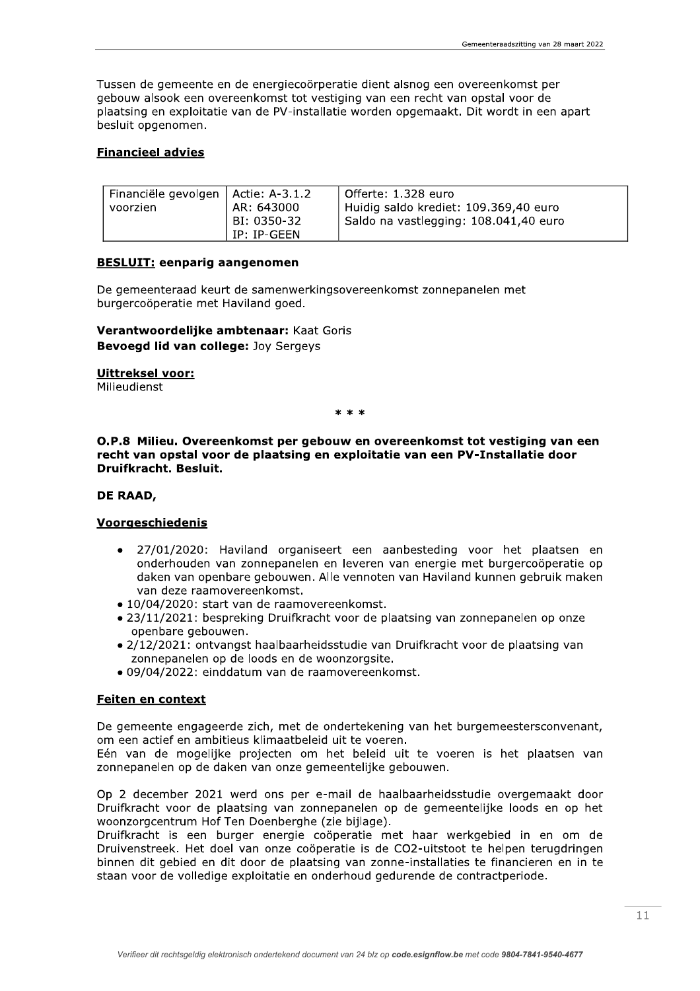Tussen de gemeente en de energiecoörperatie dient alsnog een overeenkomst per gebouw alsook een overeenkomst tot vestiging van een recht van opstal voor de plaatsing en exploitatie van de PV-installatie worden opgemaakt. Dit wordt in een apart besluit opgenomen.

## **Financieel advies**

| Financiële gevolgen   Actie: A-3.1.2<br>voorzien | AR: 643000                 | l Offerte: 1.328 euro<br>Huidig saldo krediet: 109.369,40 euro |
|--------------------------------------------------|----------------------------|----------------------------------------------------------------|
|                                                  | BI: 0350-32<br>IP: IP-GEEN | Saldo na vastlegging: 108.041,40 euro                          |

## **BESLUIT:** eenparig aangenomen

De gemeenteraad keurt de samenwerkingsovereenkomst zonnepanelen met burgercoöperatie met Haviland goed.

# Verantwoordelijke ambtenaar: Kaat Goris Bevoegd lid van college: Joy Sergeys

#### **Uittreksel voor:**

Milieudienst

 $* * *$ 

#### O.P.8 Milieu. Overeenkomst per gebouw en overeenkomst tot vestiging van een recht van opstal voor de plaatsing en exploitatie van een PV-Installatie door Druifkracht. Besluit.

#### DE RAAD,

## Voorgeschiedenis

- 27/01/2020: Haviland organiseert een aanbesteding voor het plaatsen en  $\bullet$ onderhouden van zonnepanelen en leveren van energie met burgercoöperatie op daken van openbare gebouwen. Alle vennoten van Haviland kunnen gebruik maken van deze raamovereenkomst.
- 10/04/2020: start van de raamovereenkomst.
- · 23/11/2021: bespreking Druifkracht voor de plaatsing van zonnepanelen op onze openbare gebouwen.
- · 2/12/2021: ontvangst haalbaarheidsstudie van Druifkracht voor de plaatsing van zonnepanelen op de loods en de woonzorgsite.
- · 09/04/2022: einddatum van de raamovereenkomst.

# Feiten en context

De gemeente engageerde zich, met de ondertekening van het burgemeestersconvenant, om een actief en ambitieus klimaatbeleid uit te voeren.

Eén van de mogelijke projecten om het beleid uit te voeren is het plaatsen van zonnepanelen op de daken van onze gemeentelijke gebouwen.

Op 2 december 2021 werd ons per e-mail de haalbaarheidsstudie overgemaakt door Druifkracht voor de plaatsing van zonnepanelen op de gemeentelijke loods en op het woonzorgcentrum Hof Ten Doenberghe (zie bijlage).

Druifkracht is een burger energie coöperatie met haar werkgebied in en om de Druivenstreek. Het doel van onze coöperatie is de CO2-uitstoot te helpen terugdringen binnen dit gebied en dit door de plaatsing van zonne-installaties te financieren en in te staan voor de volledige exploitatie en onderhoud gedurende de contractperiode.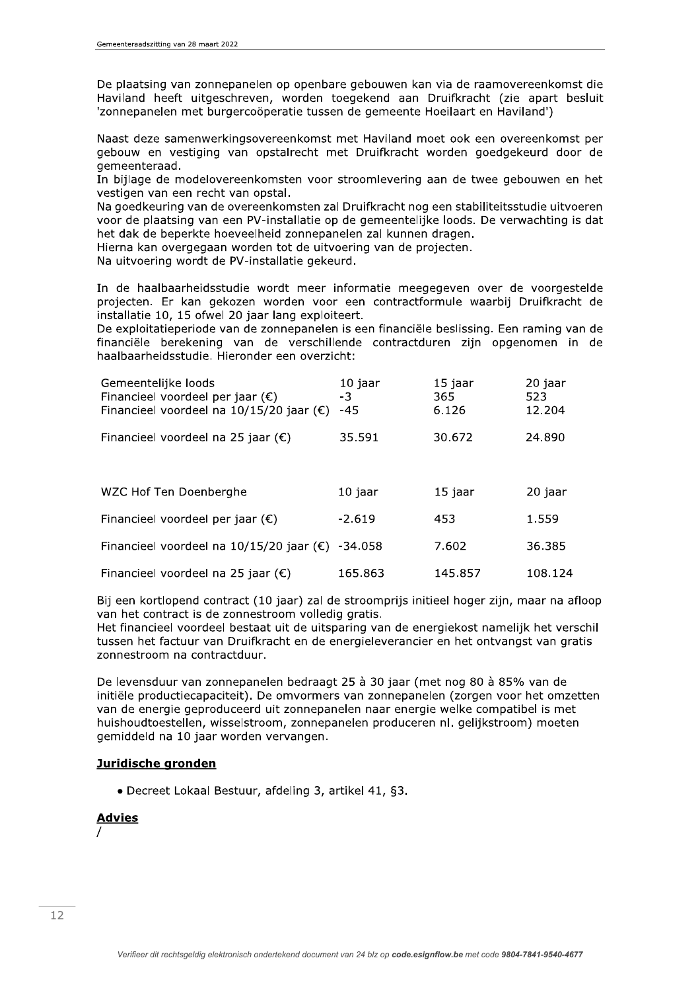De plaatsing van zonnepanelen op openbare gebouwen kan via de raamovereenkomst die Haviland heeft uitgeschreven, worden toegekend aan Druifkracht (zie apart besluit<br>'zonnepanelen met burgercoöperatie tussen de gemeente Hoeilaart en Haviland') et burgercoöperatie tussen de gemeente Hoeilaart en Haviland')

Naast deze samenwerkingsovereenkomst met Haviland moet ook een overeenkomst per gebouw en vestiging van opstalrecht met Druifkracht worden goedgekeurd door de aemeenteraad. Beze samenwerkingsovereenkomst met<br>
deze samenwerkingsovereenkomst met<br>
v en vestiging van opstalrecht met l<br>
nteraad.<br>
ge de modelovereenkomsten voor strc<br>
n van een recht van opstal.<br>
dkeuring van de overeenkomsten zal D

In bijlage de modelovereenkomsten voor stroomlevering aan de twee gebouwen en het vestigen van een recht van opstal.

Na goedkeuring van de overeenkomsten zal Druifkracht nog een stabiliteitsstudie uitvoeren voor de plaatsing van een PV-installatie op de gemeentelijke loods. De verwachting is dat het dak de beperkte hoeveelheid zonnepanelen zal kunnen dragen.

Hierna kan overgegaan worden tot de uitvoering van de projecten.

Na uitvoering wordt de PV-installatie gekeurd.

In de haalbaarheidsstudie wordt meer informatie meegegeven over de voorgestelde projecten. Er kan gekozen worden voor een contractformule waarbij Druifkracht de installatie 10, 15 ofwel 20 jaar lang exploiteert.

beenteraad.<br>
iglage de modelovereenkomsten voor stigen van een recht van opstal.<br>
igen van een recht van opstal.<br>
igen van een recht van opstal.<br>
igen van een PV-installatie op dak de beperkte hoeveelheid zonnepane<br>
ma kan De exploitatieperiode van de zonnepanelen is een financiële beslissing. Een raming van de financiële berekening van de verschillende contractduren zijn opgenomen in de haalbaarheidsstudie. Hieronder een overzicht:

| Gemeentelijke loods<br>Financieel voordeel per jaar $(\epsilon)$ | 10 jaar<br>$-3$ | 15 jaar<br>365 | 20 jaar<br>523 |
|------------------------------------------------------------------|-----------------|----------------|----------------|
| Financieel voordeel na $10/15/20$ jaar ( $\epsilon$ )            | $-45$           | 6.126          | 12.204         |
| Financieel voordeel na 25 jaar ( $\epsilon$ )                    | 35.591          | 30.672         | 24.890         |
|                                                                  |                 |                |                |
| WZC Hof Ten Doenberghe                                           | 10 jaar         | 15 jaar        | 20 jaar        |
| Financieel voordeel per jaar $(\epsilon)$                        | $-2.619$        | 453            | 1.559          |
| Financieel voordeel na 10/15/20 jaar $(\epsilon)$                | -34.058         | 7.602          | 36.385         |
| Financieel voordeel na 25 jaar ( $\epsilon$ )                    | 165.863         | 145.857        | 108.124        |

Bij een kortlopend contract (10 jaar) zal de stroomprijs initieel hoger zijn, maar na afloop van het contract is de zonnestroom volledig gratis.

Het financieel voordeel bestaat uit de uitsparing van de energiekost namelijk het verschil tussen het factuur van Druifkracht en de energieleverancier en het ontvangst van gratis zonnestroom na contractduur.

De levensduur van zonnepanelen bedraagt 25 à 30 jaar (met nog 80 à 85% van de initiële productiecapaciteit). De omvormers van zonnepanelen (zorgen voor het omzetten van de energie geproduceerd uit zonnepanelen naar energie welke compatibel is met huishoudtoestellen, wisselstroom, zonnepanelen produceren nl. geliikstroom) moeten aemiddeld na 10 jaar worden vervangen.

## Juridische gronden

 $\bullet$  Decreet Lokaal Bestuur, afdeling 3, artikel 41, §3.

# <u>Advies</u>

 $\frac{1}{2}$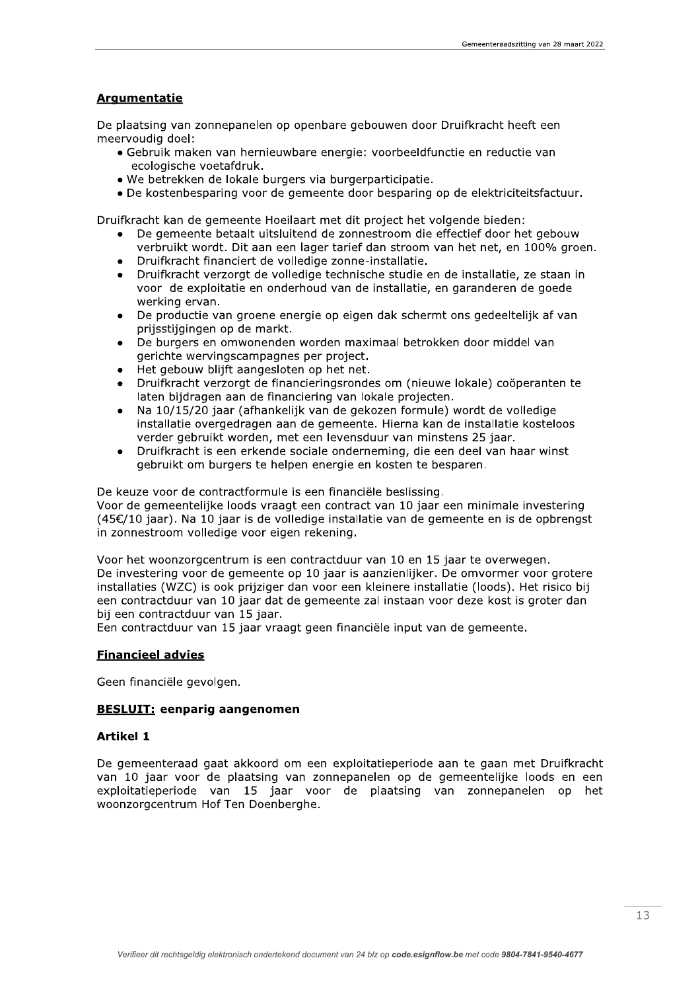# **Argumentatie**

De plaatsing van zonnepanelen op openbare gebouwen door Druifkracht heeft een meervoudig doel:

- · Gebruik maken van hernieuwbare energie: voorbeeldfunctie en reductie van ecologische voetafdruk.
- We betrekken de lokale burgers via burgerparticipatie.
- . De kostenbesparing voor de gemeente door besparing op de elektriciteitsfactuur.

Druifkracht kan de gemeente Hoeilaart met dit project het volgende bieden:

- De gemeente betaalt uitsluitend de zonnestroom die effectief door het gebouw verbruikt wordt. Dit aan een lager tarief dan stroom van het net, en 100% groen.
- Druifkracht financiert de volledige zonne-installatie.
- Druifkracht verzorgt de volledige technische studie en de installatie, ze staan in voor de exploitatie en onderhoud van de installatie, en garanderen de goede werking ervan.
- De productie van groene energie op eigen dak schermt ons gedeeltelijk af van prijsstijgingen op de markt.
- De burgers en omwonenden worden maximaal betrokken door middel van gerichte wervingscampagnes per project.
- Het gebouw blijft aangesloten op het net.
- Druifkracht verzorgt de financieringsrondes om (nieuwe lokale) coöperanten te laten bijdragen aan de financiering van lokale projecten.
- Na 10/15/20 jaar (afhankelijk van de gekozen formule) wordt de volledige installatie overgedragen aan de gemeente. Hierna kan de installatie kosteloos verder gebruikt worden, met een levensduur van minstens 25 jaar.
- Druifkracht is een erkende sociale onderneming, die een deel van haar winst  $\bullet$ gebruikt om burgers te helpen energie en kosten te besparen.

De keuze voor de contractformule is een financiële beslissing. Voor de gemeentelijke loods vraagt een contract van 10 jaar een minimale investering (45€/10 jaar). Na 10 jaar is de volledige installatie van de gemeente en is de opbrengst in zonnestroom volledige voor eigen rekening.

Voor het woonzorgcentrum is een contractduur van 10 en 15 jaar te overwegen. De investering voor de gemeente op 10 jaar is aanzienlijker. De omvormer voor grotere installaties (WZC) is ook prijziger dan voor een kleinere installatie (loods). Het risico bij een contractduur van 10 jaar dat de gemeente zal instaan voor deze kost is groter dan bij een contractduur van 15 jaar.

Een contractduur van 15 jaar vraagt geen financiële input van de gemeente.

## **Financieel advies**

Geen financiële gevolgen.

## **BESLUIT:** eenparig aangenomen

## **Artikel 1**

De gemeenteraad gaat akkoord om een exploitatieperiode aan te gaan met Druifkracht van 10 jaar voor de plaatsing van zonnepanelen op de gemeentelijke loods en een exploitatieperiode van 15 jaar voor de plaatsing van zonnepanelen op het woonzorgcentrum Hof Ten Doenberghe.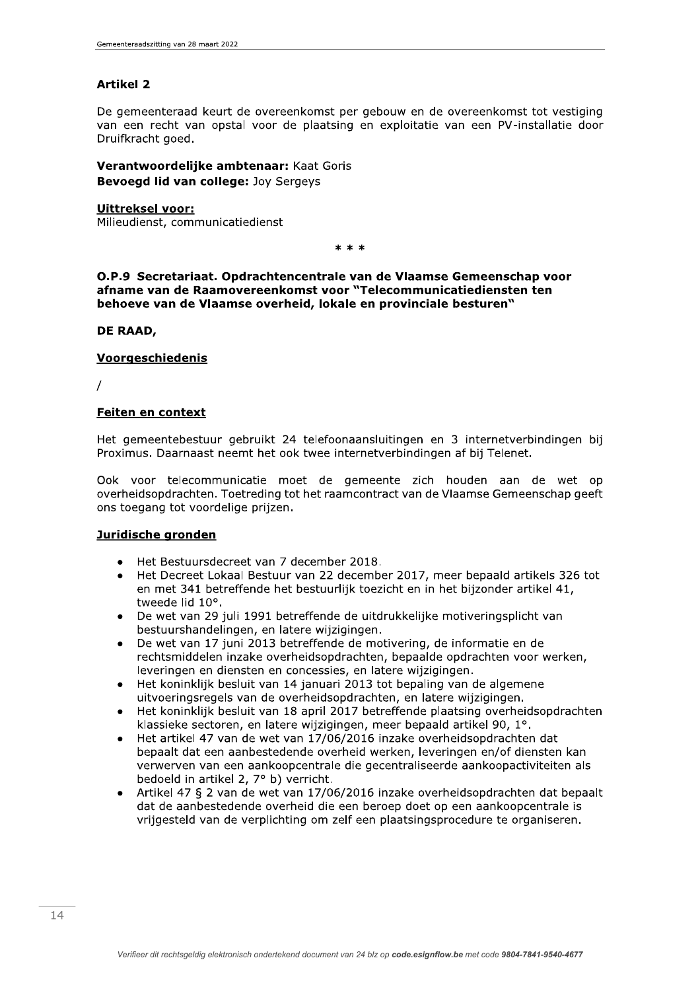# **Artikel 2**

De gemeenteraad keurt de overeenkomst per gebouw en de overeenkomst tot vestiging van een recht van opstal voor de plaatsing en exploitatie van een PV-installatie door Druifkracht goed.

Verantwoordelijke ambtenaar: Kaat Goris Bevoegd lid van college: Joy Sergeys

#### **Uittreksel voor:**

Milieudienst, communicatiedienst

\* \* \*

O.P.9 Secretariaat. Opdrachtencentrale van de Vlaamse Gemeenschap voor afname van de Raamovereenkomst voor "Telecommunicatiediensten ten behoeve van de Vlaamse overheid, lokale en provinciale besturen"

#### DE RAAD,

## Voorgeschiedenis

## **Feiten en context**

Het gemeentebestuur gebruikt 24 telefoonaansluitingen en 3 internetverbindingen bij Proximus. Daarnaast neemt het ook twee internetverbindingen af bij Telenet.

Ook voor telecommunicatie moet de gemeente zich houden aan de wet op overheidsopdrachten. Toetreding tot het raamcontract van de Vlaamse Gemeenschap geeft ons toegang tot voordelige prijzen.

# Juridische gronden

- Het Bestuursdecreet van 7 december 2018.
- Het Decreet Lokaal Bestuur van 22 december 2017, meer bepaald artikels 326 tot  $\bullet$ en met 341 betreffende het bestuurlijk toezicht en in het bijzonder artikel 41, tweede lid 10°.
- De wet van 29 juli 1991 betreffende de uitdrukkelijke motiveringsplicht van bestuurshandelingen, en latere wijzigingen.
- De wet van 17 juni 2013 betreffende de motivering, de informatie en de rechtsmiddelen inzake overheidsopdrachten, bepaalde opdrachten voor werken, leveringen en diensten en concessies, en latere wijzigingen.
- Het koninklijk besluit van 14 januari 2013 tot bepaling van de algemene uitvoeringsregels van de overheidsopdrachten, en latere wijzigingen.
- Het koninklijk besluit van 18 april 2017 betreffende plaatsing overheidsopdrachten klassieke sectoren, en latere wijzigingen, meer bepaald artikel 90, 1°.
- Het artikel 47 van de wet van 17/06/2016 inzake overheidsopdrachten dat  $\bullet$ bepaalt dat een aanbestedende overheid werken, leveringen en/of diensten kan verwerven van een aankoopcentrale die gecentraliseerde aankoopactiviteiten als bedoeld in artikel 2, 7° b) verricht.
- Artikel 47 § 2 van de wet van 17/06/2016 inzake overheidsopdrachten dat bepaalt  $\bullet$ dat de aanbestedende overheid die een beroep doet op een aankoopcentrale is vrijgesteld van de verplichting om zelf een plaatsingsprocedure te organiseren.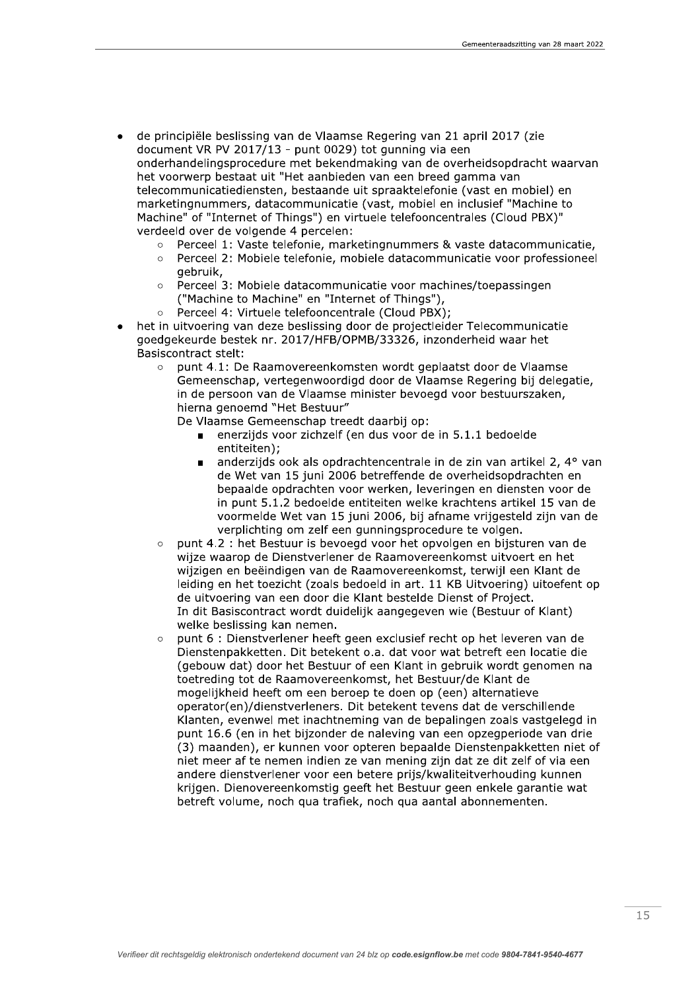- de principiële beslissing van de Vlaamse Regering van 21 april 2017 (zie document VR PV 2017/13 - punt 0029) tot qunning via een onderhandelingsprocedure met bekendmaking van de overheidsopdracht waarvan het voorwerp bestaat uit "Het aanbieden van een breed gamma van telecommunicatiediensten, bestaande uit spraaktelefonie (vast en mobiel) en marketingnummers, datacommunicatie (vast, mobiel en inclusief "Machine to Machine" of "Internet of Things") en virtuele telefooncentrales (Cloud PBX)" verdeeld over de volgende 4 percelen:
	- Perceel 1: Vaste telefonie, marketingnummers & vaste datacommunicatie,
	- Perceel 2: Mobiele telefonie, mobiele datacommunicatie voor professioneel  $\triangle$ gebruik,
	- Perceel 3: Mobiele datacommunicatie voor machines/toepassingen  $\circ$ ("Machine to Machine" en "Internet of Things"),
	- Perceel 4: Virtuele telefooncentrale (Cloud PBX);  $\circ$
- het in uitvoering van deze beslissing door de projectleider Telecommunicatie goedgekeurde bestek nr. 2017/HFB/OPMB/33326, inzonderheid waar het **Basiscontract stelt:** 
	- punt 4.1: De Raamovereenkomsten wordt geplaatst door de Vlaamse  $\circ$ Gemeenschap, vertegenwoordigd door de Vlaamse Regering bij delegatie, in de persoon van de Vlaamse minister bevoegd voor bestuurszaken, hierna genoemd "Het Bestuur"

De Vlaamse Gemeenschap treedt daarbij op:

- enerzijds voor zichzelf (en dus voor de in 5.1.1 bedoelde entiteiten);
- anderzijds ook als opdrachtencentrale in de zin van artikel 2, 4° van  $\blacksquare$ de Wet van 15 juni 2006 betreffende de overheidsopdrachten en bepaalde opdrachten voor werken, leveringen en diensten voor de in punt 5.1.2 bedoelde entiteiten welke krachtens artikel 15 van de voormelde Wet van 15 juni 2006, bij afname vrijgesteld zijn van de verplichting om zelf een gunningsprocedure te volgen.
- punt 4.2 : het Bestuur is bevoegd voor het opvolgen en bijsturen van de  $\circ$ wijze waarop de Dienstverlener de Raamovereenkomst uitvoert en het wijzigen en beëindigen van de Raamovereenkomst, terwijl een Klant de leiding en het toezicht (zoals bedoeld in art. 11 KB Uitvoering) uitoefent op de uitvoering van een door die Klant bestelde Dienst of Project. In dit Basiscontract wordt duidelijk aangegeven wie (Bestuur of Klant) welke beslissing kan nemen.
- punt 6 : Dienstverlener heeft geen exclusief recht op het leveren van de Dienstenpakketten. Dit betekent o.a. dat voor wat betreft een locatie die (gebouw dat) door het Bestuur of een Klant in gebruik wordt genomen na toetreding tot de Raamovereenkomst, het Bestuur/de Klant de mogelijkheid heeft om een beroep te doen op (een) alternatieve operator(en)/dienstverleners. Dit betekent tevens dat de verschillende Klanten, evenwel met inachtneming van de bepalingen zoals vastgelegd in punt 16.6 (en in het bijzonder de naleving van een opzegperiode van drie (3) maanden), er kunnen voor opteren bepaalde Dienstenpakketten niet of niet meer af te nemen indien ze van mening zijn dat ze dit zelf of via een andere dienstverlener voor een betere prijs/kwaliteitverhouding kunnen krijgen. Dienovereenkomstig geeft het Bestuur geen enkele garantie wat betreft volume, noch qua trafiek, noch qua aantal abonnementen.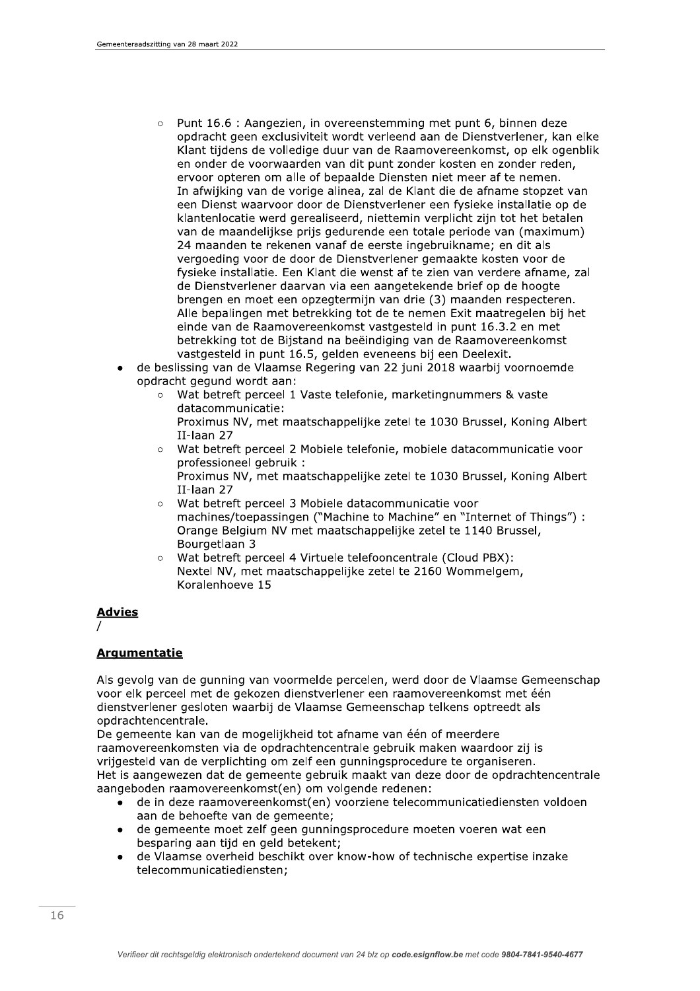- $\circ$ Punt 16.6 : Aangezien, in overeenstemming met punt 6, binnen deze opdracht geen exclusiviteit wordt verleend aan de Dienstverlener, kan elke Klant tijdens de volledige duur van de Raamovereenkomst, op elk ogenblik en onder de voorwaarden van dit punt zonder kosten en zonder reden, ervoor opteren om alle of bepaalde Diensten niet meer af te nemen. In afwijking van de vorige alinea, zal de Klant die de afname stopzet van een Dienst waarvoor door de Dienstverlener een fysieke installatie op de klantenlocatie werd gerealiseerd, niettemin verplicht zijn tot het betalen van de maandelijkse prijs gedurende een totale periode van (maximum) 24 maanden te rekenen vanaf de eerste ingebruikname; en dit als vergoeding voor de door de Dienstverlener gemaakte kosten voor de fysieke installatie. Een Klant die wenst af te zien van verdere afname, zal de Dienstverlener daarvan via een aangetekende brief op de hoogte brengen en moet een opzegtermijn van drie (3) maanden respecteren. Alle bepalingen met betrekking tot de te nemen Exit maatregelen bij het einde van de Raamovereenkomst vastgesteld in punt 16.3.2 en met betrekking tot de Bijstand na beëindiging van de Raamovereenkomst vastgesteld in punt 16.5, gelden eveneens bij een Deelexit.
- de beslissing van de Vlaamse Regering van 22 juni 2018 waarbij voornoemde opdracht gegund wordt aan:
	- Wat betreft perceel 1 Vaste telefonie, marketing nummers & vaste  $\circ$ datacommunicatie:
		- Proximus NV, met maatschappelijke zetel te 1030 Brussel, Koning Albert II-laan 27
	- Wat betreft perceel 2 Mobiele telefonie, mobiele datacommunicatie voor professioneel gebruik: Proximus NV, met maatschappelijke zetel te 1030 Brussel, Koning Albert II-laan 27
	- Wat betreft perceel 3 Mobiele datacommunicatie voor  $\circ$ machines/toepassingen ("Machine to Machine" en "Internet of Things") : Orange Belgium NV met maatschappelijke zetel te 1140 Brussel, Bourgetlaan 3
	- Wat betreft perceel 4 Virtuele telefooncentrale (Cloud PBX): Nextel NV, met maatschappelijke zetel te 2160 Wommelgem, Koralenhoeve 15

# **Advies**

# **Argumentatie**

Als gevolg van de gunning van voormelde percelen, werd door de Vlaamse Gemeenschap voor elk perceel met de gekozen dienstverlener een raamovereenkomst met één dienstverlener gesloten waarbij de Vlaamse Gemeenschap telkens optreedt als opdrachtencentrale.

De gemeente kan van de mogelijkheid tot afname van één of meerdere raamovereenkomsten via de opdrachtencentrale gebruik maken waardoor zij is vrijgesteld van de verplichting om zelf een gunningsprocedure te organiseren. Het is aangewezen dat de gemeente gebruik maakt van deze door de opdrachtencentrale aangeboden raamovereenkomst(en) om volgende redenen:

- de in deze raamovereenkomst(en) voorziene telecommunicatiediensten voldoen aan de behoefte van de gemeente;
- de gemeente moet zelf geen gunningsprocedure moeten voeren wat een besparing aan tijd en geld betekent;
- de Vlaamse overheid beschikt over know-how of technische expertise inzake telecommunicatiediensten: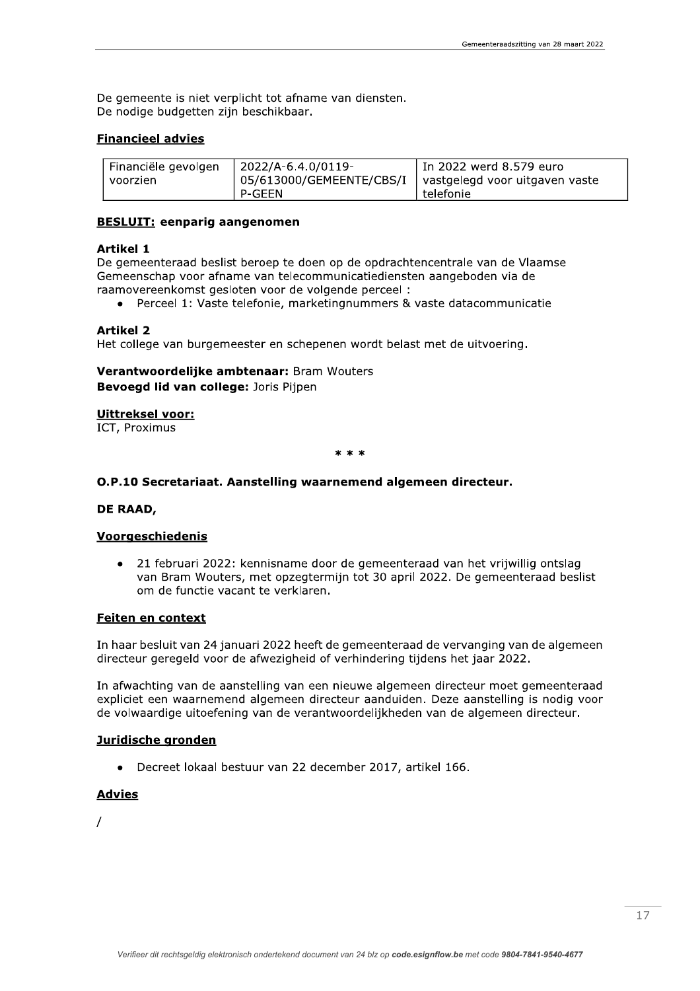De gemeente is niet verplicht tot afname van diensten. De nodige budgetten zijn beschikbaar.

#### **Financieel advies**

| Financiële gevolgen | l 2022/A-6.4.0/0119- | I In 2022 werd 8.579 euro                                 |
|---------------------|----------------------|-----------------------------------------------------------|
| voorzien            |                      | O5/613000/GEMEENTE/CBS/I   vastgelegd voor uitgaven vaste |
|                     | P-GEEN               | telefonie                                                 |

#### **BESLUIT: eenparig aangenomen**

#### **Artikel 1**

De gemeenteraad beslist beroep te doen op de opdrachtencentrale van de Vlaamse Gemeenschap voor afname van telecommunicatiediensten aangeboden via de raamovereenkomst gesloten voor de volgende perceel :

• Perceel 1: Vaste telefonie, marketingnummers & vaste datacommunicatie

#### **Artikel 2**

Het college van burgemeester en schepenen wordt belast met de uitvoering.

# Verantwoordelijke ambtenaar: Bram Wouters Bevoegd lid van college: Joris Pijpen

**Uittreksel voor:** 

ICT, Proximus

 $* * *$ 

# O.P.10 Secretariaat. Aanstelling waarnemend algemeen directeur.

## DE RAAD,

## Voorgeschiedenis

21 februari 2022: kennisname door de gemeenteraad van het vrijwillig ontslag  $\bullet$ van Bram Wouters, met opzegtermijn tot 30 april 2022. De gemeenteraad beslist om de functie vacant te verklaren.

#### Feiten en context

In haar besluit van 24 januari 2022 heeft de gemeenteraad de vervanging van de algemeen directeur geregeld voor de afwezigheid of verhindering tijdens het jaar 2022.

In afwachting van de aanstelling van een nieuwe algemeen directeur moet gemeenteraad expliciet een waarnemend algemeen directeur aanduiden. Deze aanstelling is nodig voor de volwaardige uitoefening van de verantwoordelijkheden van de algemeen directeur.

#### Juridische gronden

• Decreet lokaal bestuur van 22 december 2017, artikel 166.

# **Advies**

 $\prime$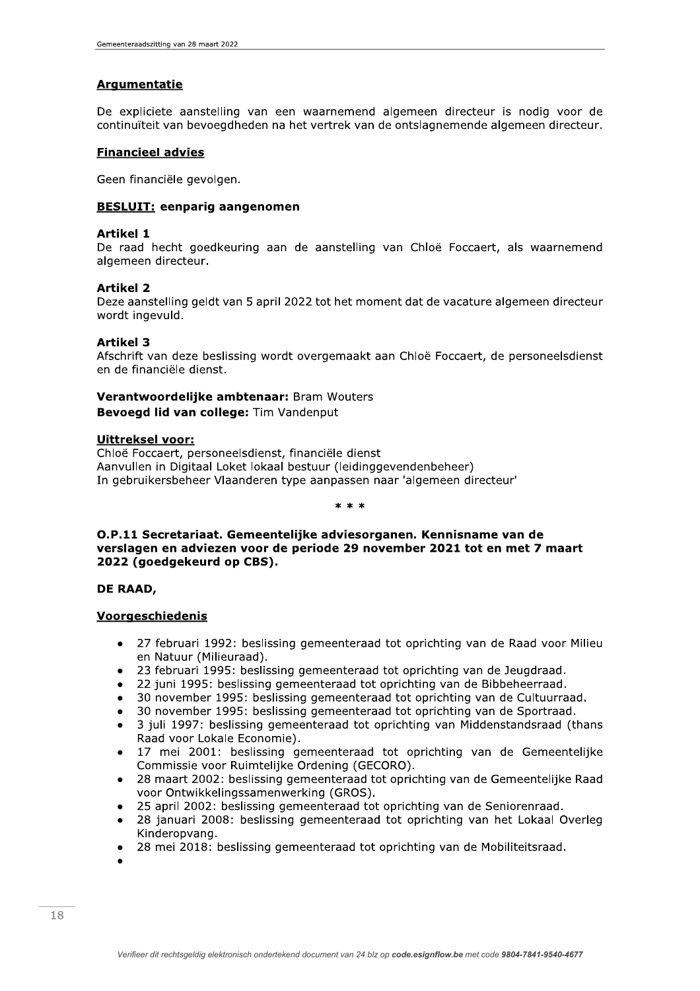# **Argumentatie**

De expliciete aanstelling van een waarnemend algemeen directeur is nodig voor de continuïteit van bevoegdheden na het vertrek van de ontslagnemende algemeen directeur.

# **Financieel advies**

Geen financiële gevolgen.

# **BESLUIT: eenparig aangenomen**

#### **Artikel 1**

De raad hecht goedkeuring aan de aanstelling van Chloë Foccaert, als waarnemend algemeen directeur.

## **Artikel 2**

Deze aanstelling geldt van 5 april 2022 tot het moment dat de vacature algemeen directeur wordt ingevuld.

## **Artikel 3**

Afschrift van deze beslissing wordt overgemaakt aan Chloë Foccaert, de personeelsdienst en de financiële dienst.

# Verantwoordelijke ambtenaar: Bram Wouters Bevoegd lid van college: Tim Vandenput

#### **Uittreksel voor:**

Chloë Foccaert, personeelsdienst, financiële dienst Aanvullen in Digitaal Loket lokaal bestuur (leidinggevendenbeheer) In gebruikersbeheer Vlaanderen type aanpassen naar 'algemeen directeur'

#### $* * *$

# O.P.11 Secretariaat. Gemeentelijke adviesorganen. Kennisname van de verslagen en adviezen voor de periode 29 november 2021 tot en met 7 maart 2022 (goedgekeurd op CBS).

## DE RAAD,

# Voorgeschiedenis

- 27 februari 1992: beslissing gemeenteraad tot oprichting van de Raad voor Milieu en Natuur (Milieuraad).
- 23 februari 1995: beslissing gemeenteraad tot oprichting van de Jeugdraad.
- 22 juni 1995: beslissing gemeenteraad tot oprichting van de Bibbeheerraad.
- 30 november 1995: beslissing gemeenteraad tot oprichting van de Cultuurraad.
- 30 november 1995: beslissing gemeenteraad tot oprichting van de Sportraad.
- 3 juli 1997: beslissing gemeenteraad tot oprichting van Middenstandsraad (thans Raad voor Lokale Economie).
- 17 mei 2001: beslissing gemeenteraad tot oprichting van de Gemeentelijke Commissie voor Ruimtelijke Ordening (GECORO).
- 28 maart 2002: beslissing gemeenteraad tot oprichting van de Gemeentelijke Raad voor Ontwikkelingssamenwerking (GROS).
- 25 april 2002: beslissing gemeenteraad tot oprichting van de Seniorenraad.
- 28 januari 2008: beslissing gemeenteraad tot oprichting van het Lokaal Overleg Kinderopvang.
- 28 mei 2018: beslissing gemeenteraad tot oprichting van de Mobiliteitsraad.
-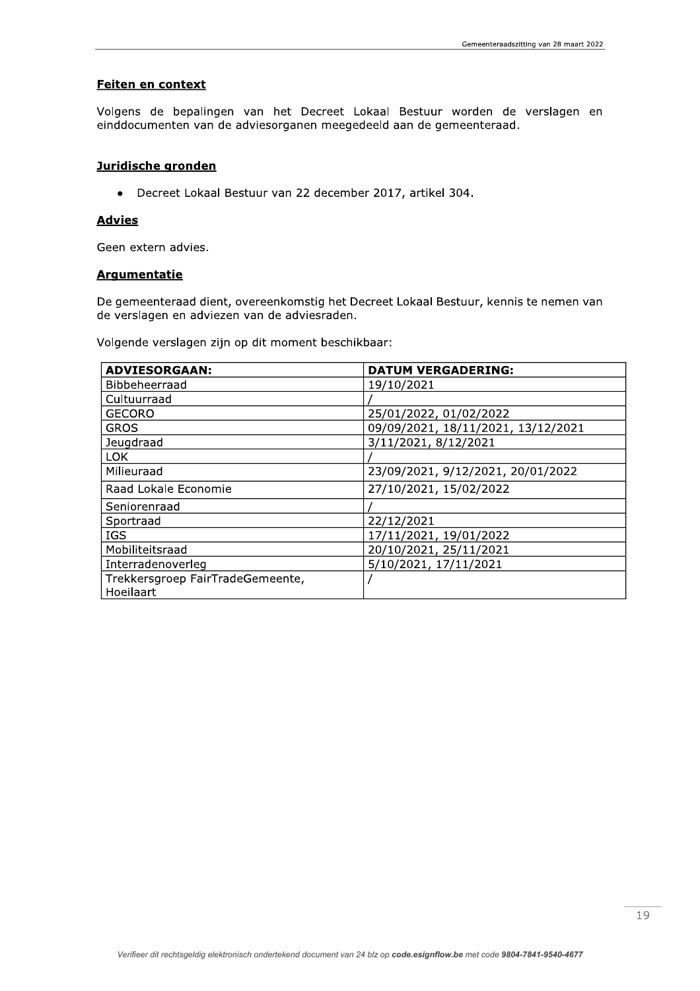# Feiten en context

Volgens de bepalingen van het Decreet Lokaal Bestuur worden de verslagen en einddocumenten van de adviesorganen meegedeeld aan de gemeenteraad.

#### Juridische gronden

• Decreet Lokaal Bestuur van 22 december 2017, artikel 304.

# **Advies**

Geen extern advies.

## **Argumentatie**

De gemeenteraad dient, overeenkomstig het Decreet Lokaal Bestuur, kennis te nemen van de verslagen en adviezen van de adviesraden.

Volgende verslagen zijn op dit moment beschikbaar:

| <b>ADVIESORGAAN:</b>             | <b>DATUM VERGADERING:</b>          |
|----------------------------------|------------------------------------|
| Bibbeheerraad                    | 19/10/2021                         |
| Cultuurraad                      |                                    |
| <b>GECORO</b>                    | 25/01/2022, 01/02/2022             |
| <b>GROS</b>                      | 09/09/2021, 18/11/2021, 13/12/2021 |
| Jeugdraad                        | 3/11/2021, 8/12/2021               |
| LOK.                             |                                    |
| Milieuraad                       | 23/09/2021, 9/12/2021, 20/01/2022  |
| Raad Lokale Economie             | 27/10/2021, 15/02/2022             |
| Seniorenraad                     |                                    |
| Sportraad                        | 22/12/2021                         |
| <b>IGS</b>                       | 17/11/2021, 19/01/2022             |
| Mobiliteitsraad                  | 20/10/2021, 25/11/2021             |
| Interradenoverleg                | 5/10/2021, 17/11/2021              |
| Trekkersgroep FairTradeGemeente, |                                    |
| Hoeilaart                        |                                    |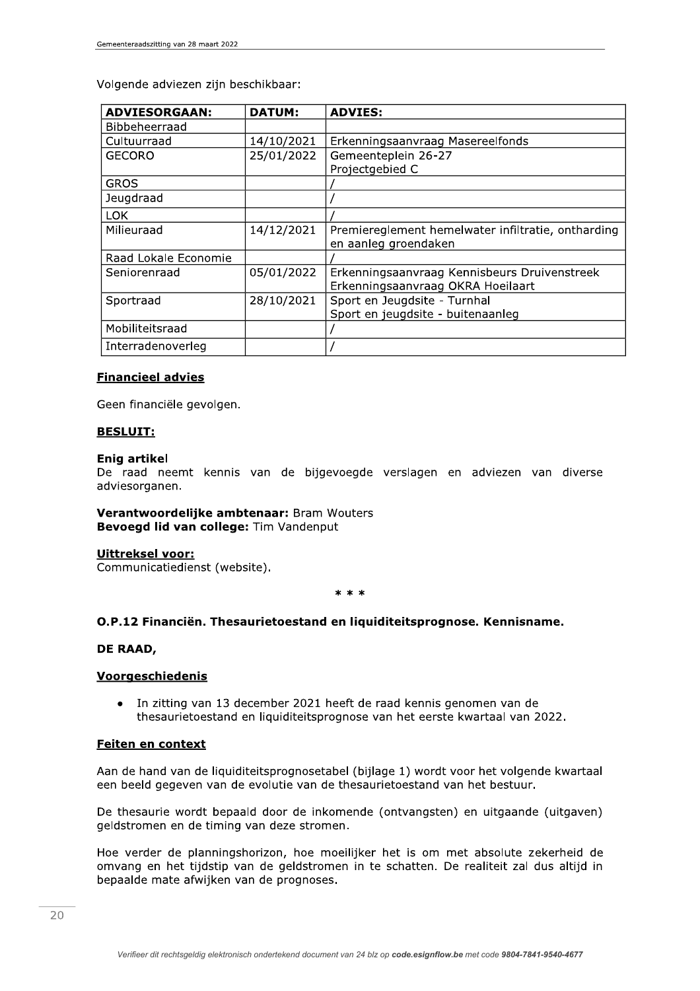Volgende adviezen zijn beschikbaar:

| <b>ADVIESORGAAN:</b> | <b>DATUM:</b> | <b>ADVIES:</b>                                     |
|----------------------|---------------|----------------------------------------------------|
| <b>Bibbeheerraad</b> |               |                                                    |
| Cultuurraad          | 14/10/2021    | Erkenningsaanvraag Masereelfonds                   |
| <b>GECORO</b>        | 25/01/2022    | Gemeenteplein 26-27                                |
|                      |               | Projectgebied C                                    |
| <b>GROS</b>          |               |                                                    |
| Jeugdraad            |               |                                                    |
| <b>LOK</b>           |               |                                                    |
| Milieuraad           | 14/12/2021    | Premiereglement hemelwater infiltratie, ontharding |
|                      |               | en aanleg groendaken                               |
| Raad Lokale Economie |               |                                                    |
| Seniorenraad         | 05/01/2022    | Erkenningsaanvraag Kennisbeurs Druivenstreek       |
|                      |               | Erkenningsaanvraag OKRA Hoeilaart                  |
| Sportraad            | 28/10/2021    | Sport en Jeugdsite - Turnhal                       |
|                      |               | Sport en jeugdsite - buitenaanleg                  |
| Mobiliteitsraad      |               |                                                    |
| Interradenoverleg    |               |                                                    |

# **Financieel advies**

Geen financiële gevolgen.

# **BESLUIT:**

#### **Enig artikel**

De raad neemt kennis van de bijgevoegde verslagen en adviezen van diverse adviesorganen.

#### Verantwoordelijke ambtenaar: Bram Wouters Bevoegd lid van college: Tim Vandenput

## Uittreksel voor:

Communicatiedienst (website).

#### $* * *$

# O.P.12 Financiën. Thesaurietoestand en liquiditeitsprognose. Kennisname.

## DE RAAD,

## **Voorgeschiedenis**

In zitting van 13 december 2021 heeft de raad kennis genomen van de  $\bullet$ thesaurietoestand en liquiditeitsprognose van het eerste kwartaal van 2022.

# Feiten en context

Aan de hand van de liquiditeitsprognosetabel (bijlage 1) wordt voor het volgende kwartaal een beeld gegeven van de evolutie van de thesaurietoestand van het bestuur.

De thesaurie wordt bepaald door de inkomende (ontvangsten) en uitgaande (uitgaven) geldstromen en de timing van deze stromen.

Hoe verder de planningshorizon, hoe moeilijker het is om met absolute zekerheid de omvang en het tijdstip van de geldstromen in te schatten. De realiteit zal dus altijd in bepaalde mate afwijken van de prognoses.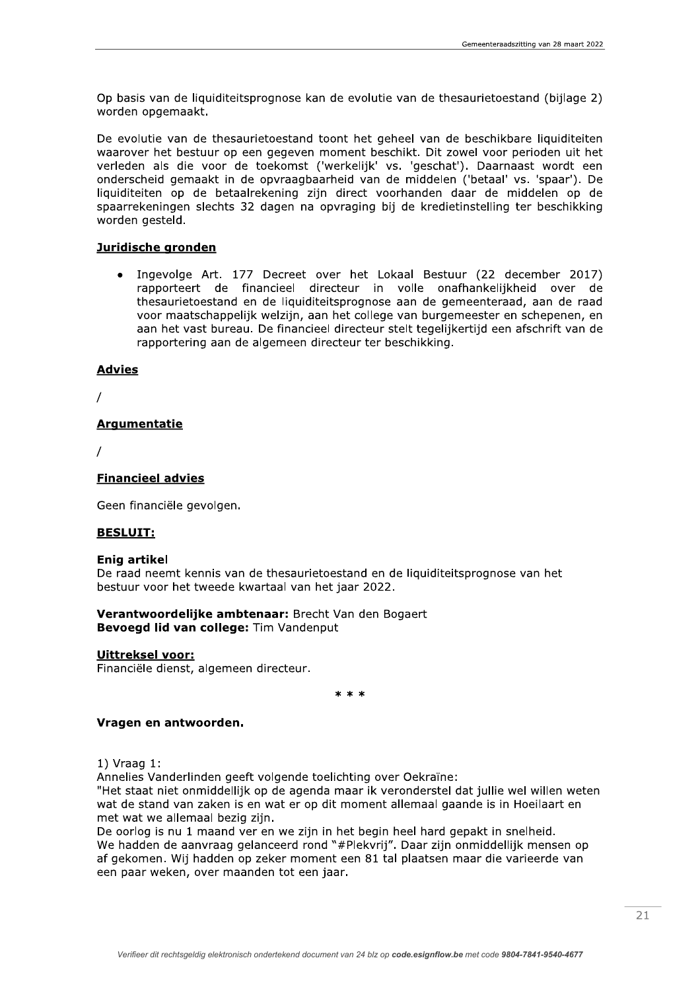Op basis van de liquiditeitsprognose kan de evolutie van de thesaurietoestand (bijlage 2) woraen opgemaakt.

De evolutie van de thesaurietoestand toont het geheel van de beschikbare liquiditeiten waarover het bestuur op een gegeven moment beschikt. Dit zowel voor perioden uit het verleden als die voor de toekomst ("Werkelijk" vs. "geschat"). Daarhaast wordt een onderscheid gemaakt in de opvraagbaarneid van de middelen ("betaal" vs. "spaar"). De liquiditeiten op de betaalrekening zijn direct voornanden daar de middelen op de spaarrekeningen siechts 32 dagen na opvraging bij de kredietinstelling ter beschikking worden gesteld. Exercit variations was an exercit variations was an exercit variations was an exercit of variations of the state of the diversion of the diversion of the diversion of the diversion of the disparal diquiditieties on the dis

#### Juridische gronden

Ingevolge Art. 177 Decreet over het Lokaal Bestuur (22 december 2017) rapporteert de financieel directeur in volle onafhankelijkheid over de thesaurietoestand en de liquiditeitsproghose aan de gemeenteraad, aan de raad voor maatschappelijk weizijn, aan het college van burgemeester en schepenen, en aan het vast bureau. De financieel directeur steit tegelijkertijd een afschrift van de rapportering aan de algemeen directeur ter beschikking. voor maatsent<br>
aan het vast b<br>
rapportering a<br> **Advies<br>
/<br>
Argumentatie<br>
/<br>
Financieel advies<br>
Geen financiële gevol<br>
BESLUIT:** 

#### **Advies**

nanciele gevolgen.

t kennis van de thesaurietoestand en de liquiditeitsprognose van het bestuur voor het tweede kwartaal van het jaar 2022. BESLUIT:<br>
Enig artikel<br>
De raad neemt kennis van de thesaurietoestand en de liquidi<br>
bestuur voor het tweede kwartaal van het jaar 2022.<br>
Verantwoordelijke ambtenaar: Brecht Van den Bogaert<br>
Bevoegd lid van college: Tim Va

# Trancieel advies<br>
Geen financiële gevolgen.<br>
BESLUIT:<br>
Enig artikel<br>
De raad neemt kennis van<br>
bestuur voor het tweede k<br>
Verantwoordelijke ambt<br>
Bevoegd lid van college<br>
<u>Uittreksel voor:</u><br>
Financiële dienst, algemee Verantwoordelijke ambtenaar: Brecht Van den Bogaert Bevoega lia van college: Tim vandenput Enig artikel<br>De raad neemt kennis van de thesa<br>bestuur voor het tweede kwartaal v<br>Verantwoordelijke ambtenaar: B<br>Bevoegd lid van college: Tim Var<br>Uittreksel voor:<br>Financiële dienst, algemeen directe<br>Vragen en antwoorden.<br>1

#### Uittreksel voor:

nanciele dienst, algemeen directeur.

n n n

1) vraag 1:

Annelles vanderlinden geeft volgende toelichting over Oekraine:

**Example and Conservation Conservation Conservation Circle Sevoegd lid van college:** Tim Vanden<br> **Uittreksel voor:**<br> **Einanciële dienst, algemeen directeur.**<br> **Vragen en antwoorden.**<br>
1) Vraag 1:<br>
Annelies Vanderlinden gee "Het staat niet onmiddellijk op de agenda maar ik veronderstel dat julije wel willen weten wat de stand van zaken is en wat er op dit moment allemaal gaande is in Hoellaart en met wat we allemaal bezig zijn.

De oorlog is hu 1 maand ver en we zijn in het begin heel hard gepakt in sneineld a. we hadden de aanvraag gelanceerd rond "#Plekvrij". Daar zijn onmiddeliijk mensen op ar gekomen. Wij nadden op zeker moment een 81 tal plaatsen maar die varieerde van een paar weken, over maanden tot een jaar.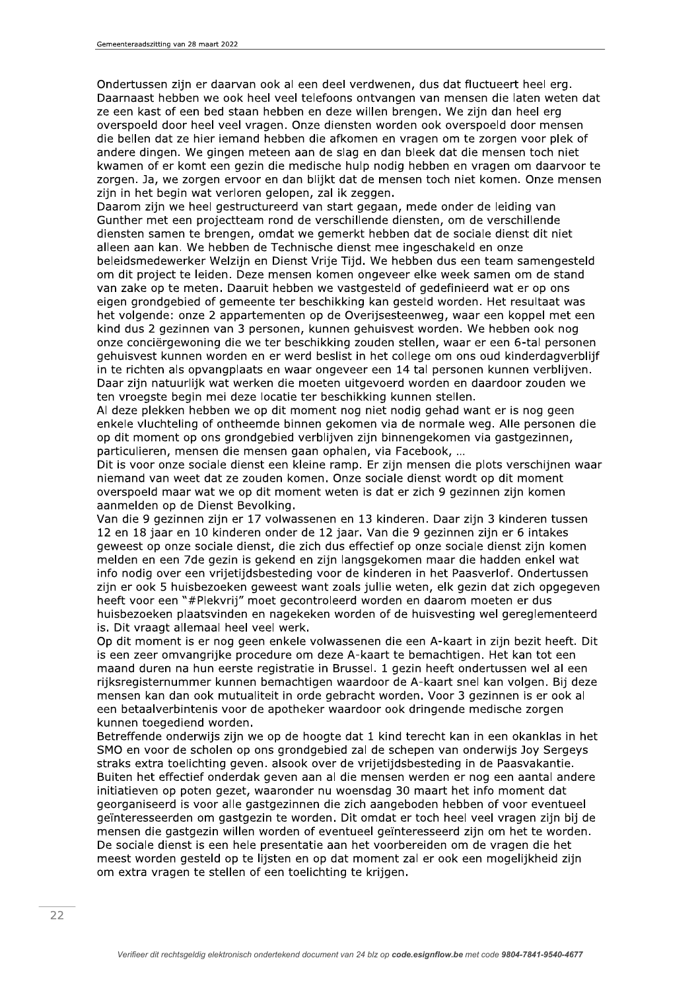Ondertussen zijn er daarvan ook al een deel verdwenen, dus dat fluctueert heel erg. Daarnaast hebben we ook heel veel telefoons ontvangen van mensen die laten weten dat ze een kast of een bed staan hebben en deze willen brengen. We zijn dan heel erg overspoeld door heel veel vragen. Onze diensten worden ook overspoeld door mensen die bellen dat ze hier iemand hebben die afkomen en vragen om te zorgen voor plek of andere dingen. We gingen meteen aan de slag en dan bleek dat die mensen toch niet kwamen of er komt een gezin die medische hulp nodig hebben en vragen om daarvoor te zorgen. Ja, we zorgen ervoor en dan blijkt dat de mensen toch niet komen. Onze mensen zijn in het begin wat verloren gelopen, zal ik zeggen.

Daarom zijn we heel gestructureerd van start gegaan, mede onder de leiding van Gunther met een projectteam rond de verschillende diensten, om de verschillende diensten samen te brengen, omdat we gemerkt hebben dat de sociale dienst dit niet alleen aan kan. We hebben de Technische dienst mee ingeschakeld en onze beleidsmedewerker Welzijn en Dienst Vrije Tijd. We hebben dus een team samengesteld om dit project te leiden. Deze mensen komen ongeveer elke week samen om de stand van zake op te meten. Daaruit hebben we vastgesteld of gedefinieerd wat er op ons eigen grondgebied of gemeente ter beschikking kan gesteld worden. Het resultaat was het volgende: onze 2 appartementen op de Overijsesteenweg, waar een koppel met een kind dus 2 gezinnen van 3 personen, kunnen gehuisvest worden. We hebben ook nog onze conciërgewoning die we ter beschikking zouden stellen, waar er een 6-tal personen gehuisvest kunnen worden en er werd beslist in het college om ons oud kinderdagverblijf in te richten als opvangplaats en waar ongeveer een 14 tal personen kunnen verblijven. Daar zijn natuurlijk wat werken die moeten uitgevoerd worden en daardoor zouden we ten vroegste begin mei deze locatie ter beschikking kunnen stellen.

Al deze plekken hebben we op dit moment nog niet nodig gehad want er is nog geen enkele vluchteling of ontheemde binnen gekomen via de normale weg. Alle personen die op dit moment op ons grondgebied verblijven zijn binnengekomen via gastgezinnen, particulieren, mensen die mensen gaan ophalen, via Facebook, ...

Dit is voor onze sociale dienst een kleine ramp. Er zijn mensen die plots verschijnen waar niemand van weet dat ze zouden komen. Onze sociale dienst wordt op dit moment overspoeld maar wat we op dit moment weten is dat er zich 9 gezinnen zijn komen aanmelden op de Dienst Bevolking.

Van die 9 gezinnen zijn er 17 volwassenen en 13 kinderen. Daar zijn 3 kinderen tussen 12 en 18 jaar en 10 kinderen onder de 12 jaar. Van die 9 gezinnen zijn er 6 intakes geweest op onze sociale dienst, die zich dus effectief op onze sociale dienst zijn komen melden en een 7de gezin is gekend en zijn langsgekomen maar die hadden enkel wat info nodig over een vrijetijdsbesteding voor de kinderen in het Paasverlof. Ondertussen zijn er ook 5 huisbezoeken geweest want zoals jullie weten, elk gezin dat zich opgegeven heeft voor een "#Plekvrij" moet gecontroleerd worden en daarom moeten er dus huisbezoeken plaatsvinden en nagekeken worden of de huisvesting wel gereglementeerd is. Dit vraagt allemaal heel veel werk.

Op dit moment is er nog geen enkele volwassenen die een A-kaart in zijn bezit heeft. Dit is een zeer omvangrijke procedure om deze A-kaart te bemachtigen. Het kan tot een maand duren na hun eerste registratie in Brussel. 1 gezin heeft ondertussen wel al een rijksregisternummer kunnen bemachtigen waardoor de A-kaart snel kan volgen. Bij deze mensen kan dan ook mutualiteit in orde gebracht worden. Voor 3 gezinnen is er ook al een betaalverbintenis voor de apotheker waardoor ook dringende medische zorgen kunnen toegediend worden.

Betreffende onderwijs zijn we op de hoogte dat 1 kind terecht kan in een okanklas in het SMO en voor de scholen op ons grondgebied zal de schepen van onderwijs Joy Sergeys straks extra toelichting geven. alsook over de vrijetijdsbesteding in de Paasvakantie. Buiten het effectief onderdak geven aan al die mensen werden er nog een aantal andere initiatieven op poten gezet, waaronder nu woensdag 30 maart het info moment dat georganiseerd is voor alle gastgezinnen die zich aangeboden hebben of voor eventueel geïnteresseerden om gastgezin te worden. Dit omdat er toch heel veel vragen zijn bij de mensen die gastgezin willen worden of eventueel geïnteresseerd zijn om het te worden. De sociale dienst is een hele presentatie aan het voorbereiden om de vragen die het meest worden gesteld op te lijsten en op dat moment zal er ook een mogelijkheid zijn om extra vragen te stellen of een toelichting te krijgen.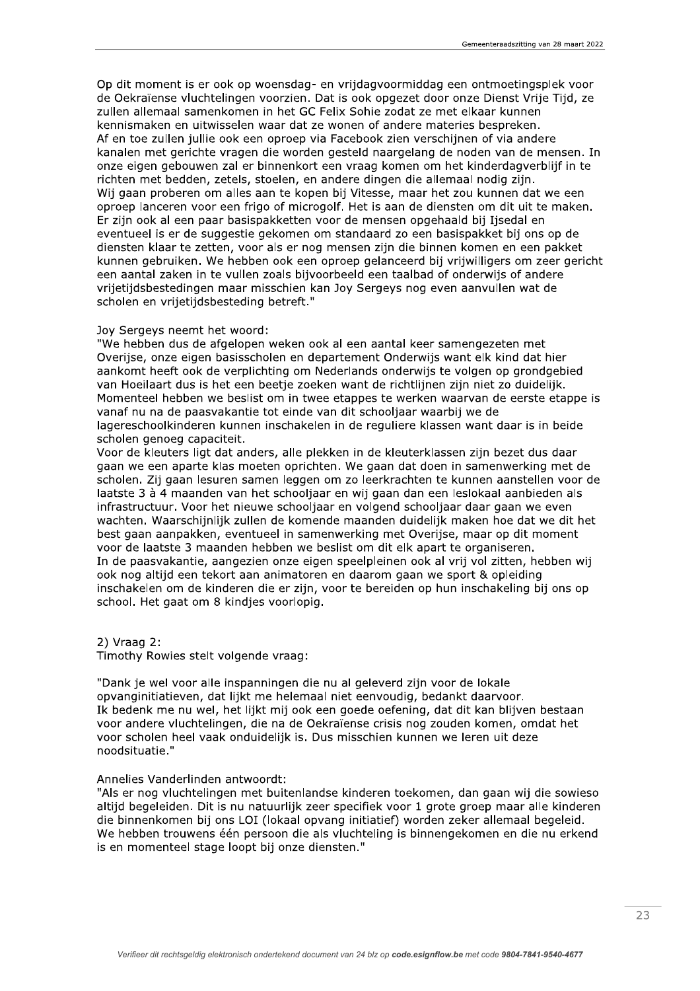Op dit moment is er ook op woensdag- en vrijdagvoormiddag een ontmoetingsplek voor de Oekraïense vluchtelingen voorzien. Dat is ook opgezet door onze Dienst Vrije Tijd, ze zullen allemaal samenkomen in het GC Felix Sohie zodat ze met elkaar kunnen kennismaken en uitwisselen waar dat ze wonen of andere materies bespreken. Af en toe zullen jullie ook een oproep via Facebook zien verschijnen of via andere kanalen met gerichte vragen die worden gesteld naargelang de noden van de mensen. In onze eigen gebouwen zal er binnenkort een vraag komen om het kinderdagverblijf in te richten met bedden, zetels, stoelen, en andere dingen die allemaal nodig zijn. Wij gaan proberen om alles aan te kopen bij Vitesse, maar het zou kunnen dat we een oproep lanceren voor een frigo of microgolf. Het is aan de diensten om dit uit te maken. Er zijn ook al een paar basispakketten voor de mensen opgehaald bij Ijsedal en eventueel is er de suggestie gekomen om standaard zo een basispakket bij ons op de diensten klaar te zetten, voor als er nog mensen zijn die binnen komen en een pakket kunnen gebruiken. We hebben ook een oproep gelanceerd bij vrijwilligers om zeer gericht een aantal zaken in te vullen zoals bijvoorbeeld een taalbad of onderwijs of andere vrijetijdsbestedingen maar misschien kan Joy Sergeys nog even aanvullen wat de scholen en vrijetijdsbesteding betreft."

#### Jov Sergevs neemt het woord:

"We hebben dus de afgelopen weken ook al een aantal keer samengezeten met Overijse, onze eigen basisscholen en departement Onderwijs want elk kind dat hier aankomt heeft ook de verplichting om Nederlands onderwijs te volgen op grondgebied van Hoeilaart dus is het een beetje zoeken want de richtlijnen zijn niet zo duidelijk. Momenteel hebben we beslist om in twee etappes te werken waarvan de eerste etappe is vanaf nu na de paasvakantie tot einde van dit schooljaar waarbij we de lagereschoolkinderen kunnen inschakelen in de reguliere klassen want daar is in beide scholen genoeg capaciteit.

Voor de kleuters ligt dat anders, alle plekken in de kleuterklassen zijn bezet dus daar gaan we een aparte klas moeten oprichten. We gaan dat doen in samenwerking met de scholen. Zij gaan lesuren samen leggen om zo leerkrachten te kunnen aanstellen voor de laatste 3 à 4 maanden van het schooljaar en wij gaan dan een leslokaal aanbieden als infrastructuur. Voor het nieuwe schooljaar en volgend schooljaar daar gaan we even wachten. Waarschijnlijk zullen de komende maanden duidelijk maken hoe dat we dit het best gaan aanpakken, eventueel in samenwerking met Overijse, maar op dit moment voor de laatste 3 maanden hebben we beslist om dit elk apart te organiseren. In de paasvakantie, aangezien onze eigen speelpleinen ook al vrij vol zitten, hebben wij ook nog altijd een tekort aan animatoren en daarom gaan we sport & opleiding inschakelen om de kinderen die er zijn, voor te bereiden op hun inschakeling bij ons op school. Het gaat om 8 kindies voorlopig.

#### $2)$  Vraag 2:

Timothy Rowies stelt volgende vraag:

"Dank je wel voor alle inspanningen die nu al geleverd zijn voor de lokale opvanginitiatieven, dat lijkt me helemaal niet eenvoudig, bedankt daarvoor. Ik bedenk me nu wel, het lijkt mij ook een goede oefening, dat dit kan blijven bestaan voor andere vluchtelingen, die na de Oekraïense crisis nog zouden komen, omdat het voor scholen heel vaak onduidelijk is. Dus misschien kunnen we leren uit deze noodsituatie."

#### Annelies Vanderlinden antwoordt:

"Als er nog vluchtelingen met buitenlandse kinderen toekomen, dan gaan wij die sowieso altijd begeleiden. Dit is nu natuurlijk zeer specifiek voor 1 grote groep maar alle kinderen die binnenkomen bij ons LOI (lokaal opvang initiatief) worden zeker allemaal begeleid. We hebben trouwens één persoon die als vluchteling is binnengekomen en die nu erkend is en momenteel stage loopt bij onze diensten."